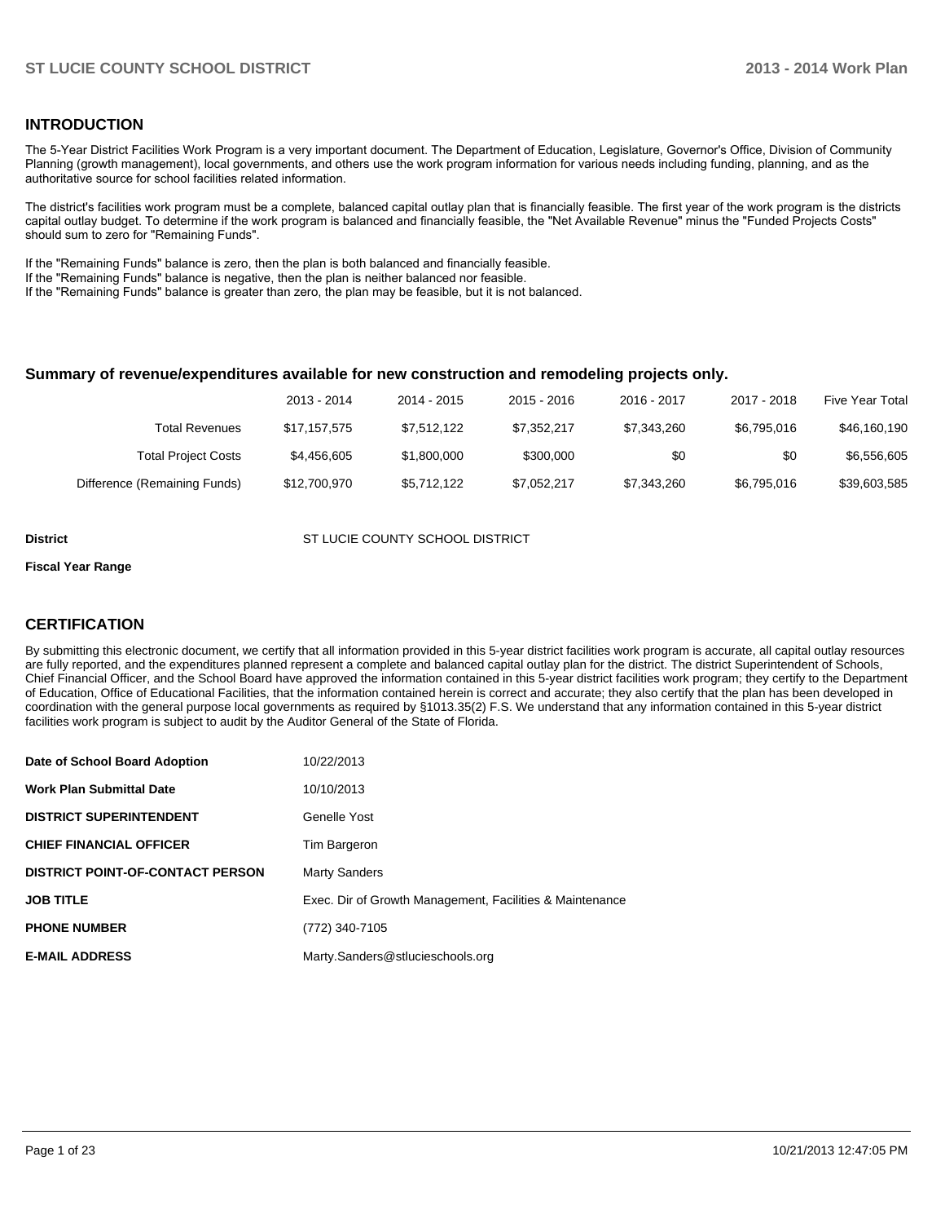### **INTRODUCTION**

The 5-Year District Facilities Work Program is a very important document. The Department of Education, Legislature, Governor's Office, Division of Community Planning (growth management), local governments, and others use the work program information for various needs including funding, planning, and as the authoritative source for school facilities related information.

The district's facilities work program must be a complete, balanced capital outlay plan that is financially feasible. The first year of the work program is the districts capital outlay budget. To determine if the work program is balanced and financially feasible, the "Net Available Revenue" minus the "Funded Projects Costs" should sum to zero for "Remaining Funds".

If the "Remaining Funds" balance is zero, then the plan is both balanced and financially feasible.

If the "Remaining Funds" balance is negative, then the plan is neither balanced nor feasible.

If the "Remaining Funds" balance is greater than zero, the plan may be feasible, but it is not balanced.

#### **Summary of revenue/expenditures available for new construction and remodeling projects only.**

| Five Year Total | 2017 - 2018 | 2016 - 2017 | 2015 - 2016 | 2014 - 2015 | 2013 - 2014  |                              |
|-----------------|-------------|-------------|-------------|-------------|--------------|------------------------------|
| \$46,160,190    | \$6.795.016 | \$7.343.260 | \$7.352.217 | \$7.512.122 | \$17.157.575 | Total Revenues               |
| \$6,556,605     | \$0         | \$0         | \$300,000   | \$1,800,000 | \$4,456,605  | <b>Total Project Costs</b>   |
| \$39,603,585    | \$6,795,016 | \$7,343,260 | \$7,052,217 | \$5,712,122 | \$12,700,970 | Difference (Remaining Funds) |

**District COUNTY SCHOOL DISTRICT COUNTY SCHOOL DISTRICT** 

#### **Fiscal Year Range**

### **CERTIFICATION**

By submitting this electronic document, we certify that all information provided in this 5-year district facilities work program is accurate, all capital outlay resources are fully reported, and the expenditures planned represent a complete and balanced capital outlay plan for the district. The district Superintendent of Schools, Chief Financial Officer, and the School Board have approved the information contained in this 5-year district facilities work program; they certify to the Department of Education, Office of Educational Facilities, that the information contained herein is correct and accurate; they also certify that the plan has been developed in coordination with the general purpose local governments as required by §1013.35(2) F.S. We understand that any information contained in this 5-year district facilities work program is subject to audit by the Auditor General of the State of Florida.

| Date of School Board Adoption           | 10/22/2013                                               |
|-----------------------------------------|----------------------------------------------------------|
| <b>Work Plan Submittal Date</b>         | 10/10/2013                                               |
| <b>DISTRICT SUPERINTENDENT</b>          | Genelle Yost                                             |
| <b>CHIEF FINANCIAL OFFICER</b>          | Tim Bargeron                                             |
| <b>DISTRICT POINT-OF-CONTACT PERSON</b> | <b>Marty Sanders</b>                                     |
| <b>JOB TITLE</b>                        | Exec. Dir of Growth Management, Facilities & Maintenance |
| <b>PHONE NUMBER</b>                     | (772) 340-7105                                           |
| <b>E-MAIL ADDRESS</b>                   | Marty.Sanders@stlucieschools.org                         |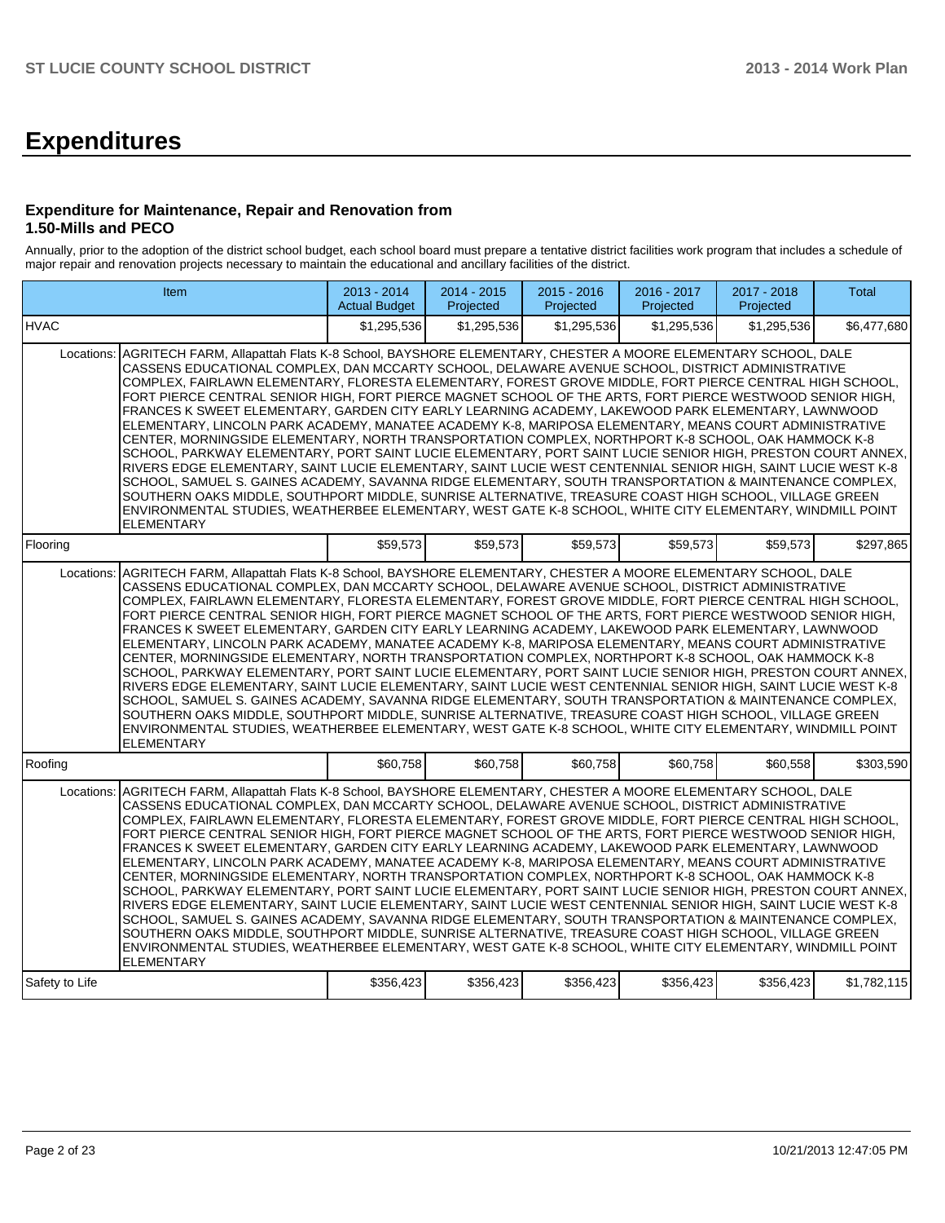# **Expenditures**

### **Expenditure for Maintenance, Repair and Renovation from 1.50-Mills and PECO**

Annually, prior to the adoption of the district school budget, each school board must prepare a tentative district facilities work program that includes a schedule of major repair and renovation projects necessary to maintain the educational and ancillary facilities of the district.

|                | Item                                                                                                                                                                                                                                                                                                                                                                                                                                                                                                                                                                                                                                                                                                                                                                                                                                                                                                                                                                                                                                                                                                                                                                                                                                                                                                                                                | $2013 - 2014$<br><b>Actual Budget</b> | $2014 - 2015$<br>Projected | 2015 - 2016<br>Projected | 2016 - 2017<br>Projected | 2017 - 2018<br>Projected | <b>Total</b> |
|----------------|-----------------------------------------------------------------------------------------------------------------------------------------------------------------------------------------------------------------------------------------------------------------------------------------------------------------------------------------------------------------------------------------------------------------------------------------------------------------------------------------------------------------------------------------------------------------------------------------------------------------------------------------------------------------------------------------------------------------------------------------------------------------------------------------------------------------------------------------------------------------------------------------------------------------------------------------------------------------------------------------------------------------------------------------------------------------------------------------------------------------------------------------------------------------------------------------------------------------------------------------------------------------------------------------------------------------------------------------------------|---------------------------------------|----------------------------|--------------------------|--------------------------|--------------------------|--------------|
| <b>HVAC</b>    |                                                                                                                                                                                                                                                                                                                                                                                                                                                                                                                                                                                                                                                                                                                                                                                                                                                                                                                                                                                                                                                                                                                                                                                                                                                                                                                                                     | \$1.295.536                           | \$1.295.536                | \$1.295.536              | \$1.295.536              | \$1,295,536              | \$6,477,680  |
| Locations:     | AGRITECH FARM, Allapattah Flats K-8 School, BAYSHORE ELEMENTARY, CHESTER A MOORE ELEMENTARY SCHOOL, DALE<br>CASSENS EDUCATIONAL COMPLEX, DAN MCCARTY SCHOOL, DELAWARE AVENUE SCHOOL, DISTRICT ADMINISTRATIVE<br>COMPLEX, FAIRLAWN ELEMENTARY, FLORESTA ELEMENTARY, FOREST GROVE MIDDLE, FORT PIERCE CENTRAL HIGH SCHOOL,<br>FORT PIERCE CENTRAL SENIOR HIGH, FORT PIERCE MAGNET SCHOOL OF THE ARTS, FORT PIERCE WESTWOOD SENIOR HIGH,<br>FRANCES K SWEET ELEMENTARY, GARDEN CITY EARLY LEARNING ACADEMY, LAKEWOOD PARK ELEMENTARY, LAWNWOOD<br>ELEMENTARY, LINCOLN PARK ACADEMY, MANATEE ACADEMY K-8, MARIPOSA ELEMENTARY, MEANS COURT ADMINISTRATIVE<br>CENTER, MORNINGSIDE ELEMENTARY, NORTH TRANSPORTATION COMPLEX, NORTHPORT K-8 SCHOOL, OAK HAMMOCK K-8<br>SCHOOL, PARKWAY ELEMENTARY, PORT SAINT LUCIE ELEMENTARY, PORT SAINT LUCIE SENIOR HIGH, PRESTON COURT ANNEX,<br>RIVERS EDGE ELEMENTARY, SAINT LUCIE ELEMENTARY, SAINT LUCIE WEST CENTENNIAL SENIOR HIGH, SAINT LUCIE WEST K-8<br>SCHOOL, SAMUEL S. GAINES ACADEMY, SAVANNA RIDGE ELEMENTARY, SOUTH TRANSPORTATION & MAINTENANCE COMPLEX,<br>SOUTHERN OAKS MIDDLE, SOUTHPORT MIDDLE, SUNRISE ALTERNATIVE, TREASURE COAST HIGH SCHOOL, VILLAGE GREEN<br>ENVIRONMENTAL STUDIES, WEATHERBEE ELEMENTARY, WEST GATE K-8 SCHOOL, WHITE CITY ELEMENTARY, WINDMILL POINT<br><b>ELEMENTARY</b> |                                       |                            |                          |                          |                          |              |
| Flooring       |                                                                                                                                                                                                                                                                                                                                                                                                                                                                                                                                                                                                                                                                                                                                                                                                                                                                                                                                                                                                                                                                                                                                                                                                                                                                                                                                                     | \$59,573                              | \$59,573                   | \$59,573                 | \$59,573                 | \$59,573                 | \$297,865    |
| Locations:     | AGRITECH FARM, Allapattah Flats K-8 School, BAYSHORE ELEMENTARY, CHESTER A MOORE ELEMENTARY SCHOOL, DALE<br>CASSENS EDUCATIONAL COMPLEX, DAN MCCARTY SCHOOL, DELAWARE AVENUE SCHOOL, DISTRICT ADMINISTRATIVE<br>COMPLEX, FAIRLAWN ELEMENTARY, FLORESTA ELEMENTARY, FOREST GROVE MIDDLE, FORT PIERCE CENTRAL HIGH SCHOOL,<br>FORT PIERCE CENTRAL SENIOR HIGH, FORT PIERCE MAGNET SCHOOL OF THE ARTS, FORT PIERCE WESTWOOD SENIOR HIGH,<br>FRANCES K SWEET ELEMENTARY, GARDEN CITY EARLY LEARNING ACADEMY, LAKEWOOD PARK ELEMENTARY, LAWNWOOD<br>ELEMENTARY, LINCOLN PARK ACADEMY, MANATEE ACADEMY K-8, MARIPOSA ELEMENTARY, MEANS COURT ADMINISTRATIVE<br>CENTER, MORNINGSIDE ELEMENTARY, NORTH TRANSPORTATION COMPLEX, NORTHPORT K-8 SCHOOL, OAK HAMMOCK K-8<br>SCHOOL, PARKWAY ELEMENTARY, PORT SAINT LUCIE ELEMENTARY, PORT SAINT LUCIE SENIOR HIGH, PRESTON COURT ANNEX,<br>RIVERS EDGE ELEMENTARY, SAINT LUCIE ELEMENTARY, SAINT LUCIE WEST CENTENNIAL SENIOR HIGH, SAINT LUCIE WEST K-8<br>SCHOOL, SAMUEL S. GAINES ACADEMY, SAVANNA RIDGE ELEMENTARY, SOUTH TRANSPORTATION & MAINTENANCE COMPLEX,<br>SOUTHERN OAKS MIDDLE, SOUTHPORT MIDDLE, SUNRISE ALTERNATIVE, TREASURE COAST HIGH SCHOOL, VILLAGE GREEN<br>ENVIRONMENTAL STUDIES, WEATHERBEE ELEMENTARY, WEST GATE K-8 SCHOOL, WHITE CITY ELEMENTARY, WINDMILL POINT<br><b>ELEMENTARY</b> |                                       |                            |                          |                          |                          |              |
| Roofing        |                                                                                                                                                                                                                                                                                                                                                                                                                                                                                                                                                                                                                                                                                                                                                                                                                                                                                                                                                                                                                                                                                                                                                                                                                                                                                                                                                     | \$60,758                              | \$60,758                   | \$60,758                 | \$60,758                 | \$60,558                 | \$303,590    |
| Locations:     | AGRITECH FARM, Allapattah Flats K-8 School, BAYSHORE ELEMENTARY, CHESTER A MOORE ELEMENTARY SCHOOL, DALE<br>CASSENS EDUCATIONAL COMPLEX, DAN MCCARTY SCHOOL, DELAWARE AVENUE SCHOOL, DISTRICT ADMINISTRATIVE<br>COMPLEX, FAIRLAWN ELEMENTARY, FLORESTA ELEMENTARY, FOREST GROVE MIDDLE, FORT PIERCE CENTRAL HIGH SCHOOL,<br>FORT PIERCE CENTRAL SENIOR HIGH. FORT PIERCE MAGNET SCHOOL OF THE ARTS. FORT PIERCE WESTWOOD SENIOR HIGH.<br>FRANCES K SWEET ELEMENTARY, GARDEN CITY EARLY LEARNING ACADEMY, LAKEWOOD PARK ELEMENTARY, LAWNWOOD<br>ELEMENTARY, LINCOLN PARK ACADEMY, MANATEE ACADEMY K-8, MARIPOSA ELEMENTARY, MEANS COURT ADMINISTRATIVE<br>CENTER, MORNINGSIDE ELEMENTARY, NORTH TRANSPORTATION COMPLEX, NORTHPORT K-8 SCHOOL, OAK HAMMOCK K-8<br>SCHOOL, PARKWAY ELEMENTARY, PORT SAINT LUCIE ELEMENTARY, PORT SAINT LUCIE SENIOR HIGH, PRESTON COURT ANNEX,<br>RIVERS EDGE ELEMENTARY, SAINT LUCIE ELEMENTARY, SAINT LUCIE WEST CENTENNIAL SENIOR HIGH, SAINT LUCIE WEST K-8<br>SCHOOL, SAMUEL S. GAINES ACADEMY, SAVANNA RIDGE ELEMENTARY, SOUTH TRANSPORTATION & MAINTENANCE COMPLEX,<br>SOUTHERN OAKS MIDDLE, SOUTHPORT MIDDLE, SUNRISE ALTERNATIVE, TREASURE COAST HIGH SCHOOL, VILLAGE GREEN<br>ENVIRONMENTAL STUDIES, WEATHERBEE ELEMENTARY, WEST GATE K-8 SCHOOL, WHITE CITY ELEMENTARY, WINDMILL POINT<br><b>ELEMENTARY</b> |                                       |                            |                          |                          |                          |              |
| Safety to Life |                                                                                                                                                                                                                                                                                                                                                                                                                                                                                                                                                                                                                                                                                                                                                                                                                                                                                                                                                                                                                                                                                                                                                                                                                                                                                                                                                     | \$356,423                             | \$356,423                  | \$356,423                | \$356,423                | \$356,423                | \$1,782,115  |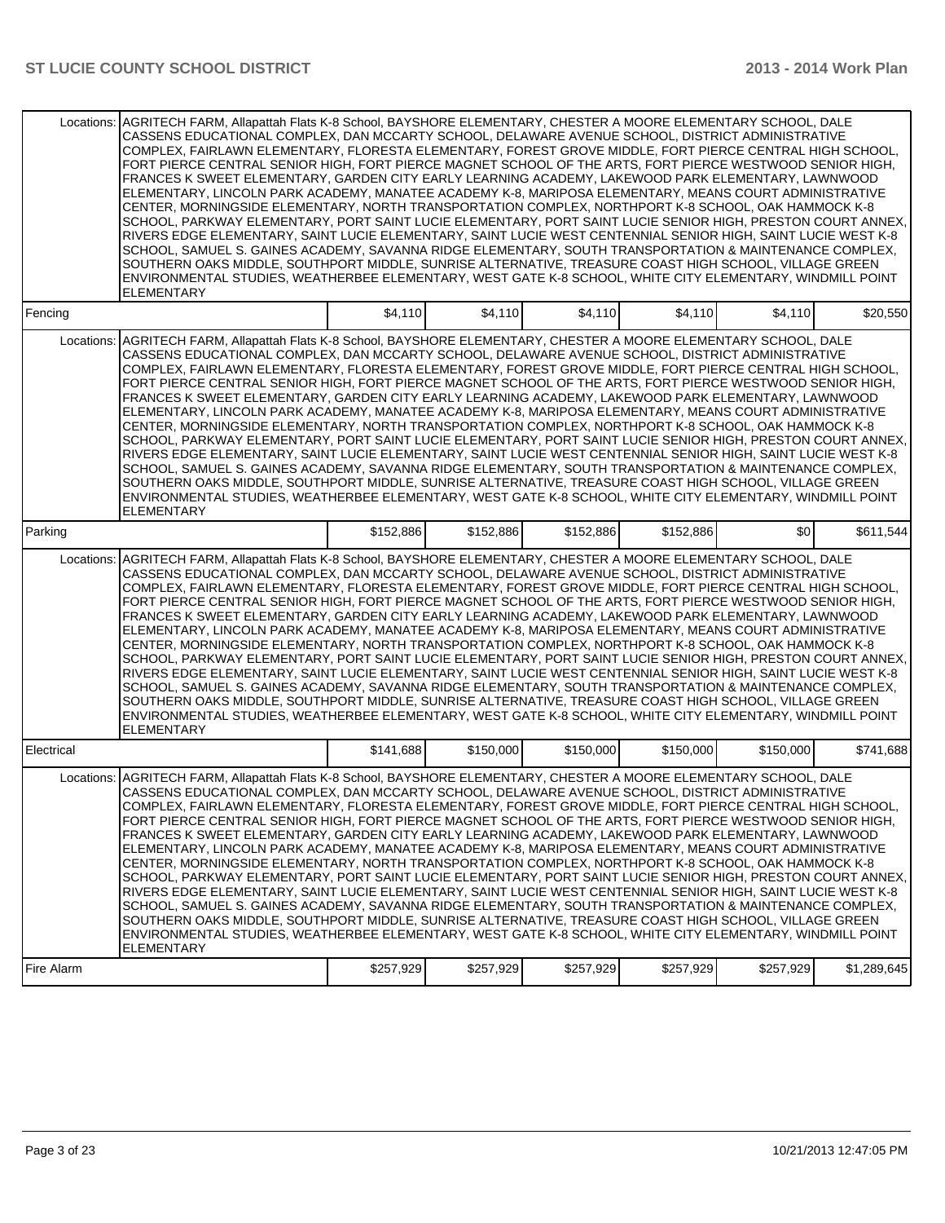| Locations: | AGRITECH FARM, Allapattah Flats K-8 School, BAYSHORE ELEMENTARY, CHESTER A MOORE ELEMENTARY SCHOOL, DALE<br>CASSENS EDUCATIONAL COMPLEX, DAN MCCARTY SCHOOL, DELAWARE AVENUE SCHOOL, DISTRICT ADMINISTRATIVE<br>COMPLEX, FAIRLAWN ELEMENTARY, FLORESTA ELEMENTARY, FOREST GROVE MIDDLE, FORT PIERCE CENTRAL HIGH SCHOOL,<br>FORT PIERCE CENTRAL SENIOR HIGH, FORT PIERCE MAGNET SCHOOL OF THE ARTS, FORT PIERCE WESTWOOD SENIOR HIGH,<br>FRANCES K SWEET ELEMENTARY, GARDEN CITY EARLY LEARNING ACADEMY, LAKEWOOD PARK ELEMENTARY, LAWNWOOD<br>ELEMENTARY, LINCOLN PARK ACADEMY, MANATEE ACADEMY K-8, MARIPOSA ELEMENTARY, MEANS COURT ADMINISTRATIVE<br>CENTER, MORNINGSIDE ELEMENTARY, NORTH TRANSPORTATION COMPLEX, NORTHPORT K-8 SCHOOL, OAK HAMMOCK K-8<br>SCHOOL, PARKWAY ELEMENTARY, PORT SAINT LUCIE ELEMENTARY, PORT SAINT LUCIE SENIOR HIGH, PRESTON COURT ANNEX,<br>RIVERS EDGE ELEMENTARY, SAINT LUCIE ELEMENTARY, SAINT LUCIE WEST CENTENNIAL SENIOR HIGH, SAINT LUCIE WEST K-8<br>SCHOOL, SAMUEL S. GAINES ACADEMY, SAVANNA RIDGE ELEMENTARY, SOUTH TRANSPORTATION & MAINTENANCE COMPLEX,<br>SOUTHERN OAKS MIDDLE, SOUTHPORT MIDDLE, SUNRISE ALTERNATIVE, TREASURE COAST HIGH SCHOOL, VILLAGE GREEN<br>ENVIRONMENTAL STUDIES, WEATHERBEE ELEMENTARY, WEST GATE K-8 SCHOOL, WHITE CITY ELEMENTARY, WINDMILL POINT<br><b>ELEMENTARY</b>              |           |           |           |           |           |             |
|------------|------------------------------------------------------------------------------------------------------------------------------------------------------------------------------------------------------------------------------------------------------------------------------------------------------------------------------------------------------------------------------------------------------------------------------------------------------------------------------------------------------------------------------------------------------------------------------------------------------------------------------------------------------------------------------------------------------------------------------------------------------------------------------------------------------------------------------------------------------------------------------------------------------------------------------------------------------------------------------------------------------------------------------------------------------------------------------------------------------------------------------------------------------------------------------------------------------------------------------------------------------------------------------------------------------------------------------------------------------------------|-----------|-----------|-----------|-----------|-----------|-------------|
| Fencing    |                                                                                                                                                                                                                                                                                                                                                                                                                                                                                                                                                                                                                                                                                                                                                                                                                                                                                                                                                                                                                                                                                                                                                                                                                                                                                                                                                                  | \$4,110   | \$4,110   | \$4,110   | \$4,110   | \$4,110   | \$20,550    |
| Locations: | AGRITECH FARM, Allapattah Flats K-8 School, BAYSHORE ELEMENTARY, CHESTER A MOORE ELEMENTARY SCHOOL, DALE<br>CASSENS EDUCATIONAL COMPLEX, DAN MCCARTY SCHOOL, DELAWARE AVENUE SCHOOL, DISTRICT ADMINISTRATIVE<br>COMPLEX, FAIRLAWN ELEMENTARY, FLORESTA ELEMENTARY, FOREST GROVE MIDDLE, FORT PIERCE CENTRAL HIGH SCHOOL,<br>FORT PIERCE CENTRAL SENIOR HIGH, FORT PIERCE MAGNET SCHOOL OF THE ARTS, FORT PIERCE WESTWOOD SENIOR HIGH,<br>FRANCES K SWEET ELEMENTARY, GARDEN CITY EARLY LEARNING ACADEMY, LAKEWOOD PARK ELEMENTARY, LAWNWOOD<br>ELEMENTARY, LINCOLN PARK ACADEMY, MANATEE ACADEMY K-8, MARIPOSA ELEMENTARY, MEANS COURT ADMINISTRATIVE<br>CENTER, MORNINGSIDE ELEMENTARY, NORTH TRANSPORTATION COMPLEX, NORTHPORT K-8 SCHOOL, OAK HAMMOCK K-8<br>SCHOOL, PARKWAY ELEMENTARY, PORT SAINT LUCIE ELEMENTARY, PORT SAINT LUCIE SENIOR HIGH, PRESTON COURT ANNEX,<br>RIVERS EDGE ELEMENTARY, SAINT LUCIE ELEMENTARY, SAINT LUCIE WEST CENTENNIAL SENIOR HIGH, SAINT LUCIE WEST K-8<br>SCHOOL, SAMUEL S. GAINES ACADEMY, SAVANNA RIDGE ELEMENTARY, SOUTH TRANSPORTATION & MAINTENANCE COMPLEX,<br>SOUTHERN OAKS MIDDLE, SOUTHPORT MIDDLE, SUNRISE ALTERNATIVE, TREASURE COAST HIGH SCHOOL, VILLAGE GREEN<br>ENVIRONMENTAL STUDIES, WEATHERBEE ELEMENTARY, WEST GATE K-8 SCHOOL, WHITE CITY ELEMENTARY, WINDMILL POINT<br><b>ELEMENTARY</b>              |           |           |           |           |           |             |
| Parking    |                                                                                                                                                                                                                                                                                                                                                                                                                                                                                                                                                                                                                                                                                                                                                                                                                                                                                                                                                                                                                                                                                                                                                                                                                                                                                                                                                                  | \$152,886 | \$152,886 | \$152,886 | \$152,886 | \$0       | \$611,544   |
| Locations: | AGRITECH FARM, Allapattah Flats K-8 School, BAYSHORE ELEMENTARY, CHESTER A MOORE ELEMENTARY SCHOOL, DALE<br>CASSENS EDUCATIONAL COMPLEX, DAN MCCARTY SCHOOL, DELAWARE AVENUE SCHOOL, DISTRICT ADMINISTRATIVE<br>COMPLEX, FAIRLAWN ELEMENTARY, FLORESTA ELEMENTARY, FOREST GROVE MIDDLE, FORT PIERCE CENTRAL HIGH SCHOOL,<br>FORT PIERCE CENTRAL SENIOR HIGH, FORT PIERCE MAGNET SCHOOL OF THE ARTS, FORT PIERCE WESTWOOD SENIOR HIGH,<br>FRANCES K SWEET ELEMENTARY, GARDEN CITY EARLY LEARNING ACADEMY, LAKEWOOD PARK ELEMENTARY, LAWNWOOD<br>ELEMENTARY, LINCOLN PARK ACADEMY, MANATEE ACADEMY K-8, MARIPOSA ELEMENTARY, MEANS COURT ADMINISTRATIVE<br>CENTER, MORNINGSIDE ELEMENTARY, NORTH TRANSPORTATION COMPLEX, NORTHPORT K-8 SCHOOL, OAK HAMMOCK K-8<br>SCHOOL, PARKWAY ELEMENTARY, PORT SAINT LUCIE ELEMENTARY, PORT SAINT LUCIE SENIOR HIGH, PRESTON COURT ANNEX,<br>RIVERS EDGE ELEMENTARY, SAINT LUCIE ELEMENTARY, SAINT LUCIE WEST CENTENNIAL SENIOR HIGH, SAINT LUCIE WEST K-8<br>SCHOOL, SAMUEL S. GAINES ACADEMY, SAVANNA RIDGE ELEMENTARY, SOUTH TRANSPORTATION & MAINTENANCE COMPLEX,<br>SOUTHERN OAKS MIDDLE, SOUTHPORT MIDDLE, SUNRISE ALTERNATIVE, TREASURE COAST HIGH SCHOOL, VILLAGE GREEN<br>ENVIRONMENTAL STUDIES, WEATHERBEE ELEMENTARY, WEST GATE K-8 SCHOOL, WHITE CITY ELEMENTARY, WINDMILL POINT<br><b>ELEMENTARY</b>              |           |           |           |           |           |             |
| Electrical |                                                                                                                                                                                                                                                                                                                                                                                                                                                                                                                                                                                                                                                                                                                                                                                                                                                                                                                                                                                                                                                                                                                                                                                                                                                                                                                                                                  | \$141,688 | \$150,000 | \$150,000 | \$150,000 | \$150,000 | \$741,688   |
|            | Locations:   AGRITECH FARM, Allapattah Flats K-8 School, BAYSHORE ELEMENTARY, CHESTER A MOORE ELEMENTARY SCHOOL, DALE<br>CASSENS EDUCATIONAL COMPLEX, DAN MCCARTY SCHOOL, DELAWARE AVENUE SCHOOL, DISTRICT ADMINISTRATIVE<br>COMPLEX, FAIRLAWN ELEMENTARY, FLORESTA ELEMENTARY, FOREST GROVE MIDDLE, FORT PIERCE CENTRAL HIGH SCHOOL,<br>FORT PIERCE CENTRAL SENIOR HIGH, FORT PIERCE MAGNET SCHOOL OF THE ARTS, FORT PIERCE WESTWOOD SENIOR HIGH,<br>FRANCES K SWEET ELEMENTARY, GARDEN CITY EARLY LEARNING ACADEMY, LAKEWOOD PARK ELEMENTARY, LAWNWOOD<br>ELEMENTARY, LINCOLN PARK ACADEMY, MANATEE ACADEMY K-8, MARIPOSA ELEMENTARY, MEANS COURT ADMINISTRATIVE<br>CENTER, MORNINGSIDE ELEMENTARY, NORTH TRANSPORTATION COMPLEX, NORTHPORT K-8 SCHOOL, OAK HAMMOCK K-8<br>SCHOOL, PARKWAY ELEMENTARY, PORT SAINT LUCIE ELEMENTARY, PORT SAINT LUCIE SENIOR HIGH, PRESTON COURT ANNEX,<br>RIVERS EDGE ELEMENTARY, SAINT LUCIE ELEMENTARY, SAINT LUCIE WEST CENTENNIAL SENIOR HIGH, SAINT LUCIE WEST K-8<br>SCHOOL, SAMUEL S. GAINES ACADEMY, SAVANNA RIDGE ELEMENTARY, SOUTH TRANSPORTATION & MAINTENANCE COMPLEX,<br>SOUTHERN OAKS MIDDLE, SOUTHPORT MIDDLE, SUNRISE ALTERNATIVE, TREASURE COAST HIGH SCHOOL, VILLAGE GREEN<br>ENVIRONMENTAL STUDIES, WEATHERBEE ELEMENTARY, WEST GATE K-8 SCHOOL, WHITE CITY ELEMENTARY, WINDMILL POINT<br><b>ELEMENTARY</b> |           |           |           |           |           |             |
| Fire Alarm |                                                                                                                                                                                                                                                                                                                                                                                                                                                                                                                                                                                                                                                                                                                                                                                                                                                                                                                                                                                                                                                                                                                                                                                                                                                                                                                                                                  | \$257,929 | \$257,929 | \$257,929 | \$257,929 | \$257,929 | \$1,289,645 |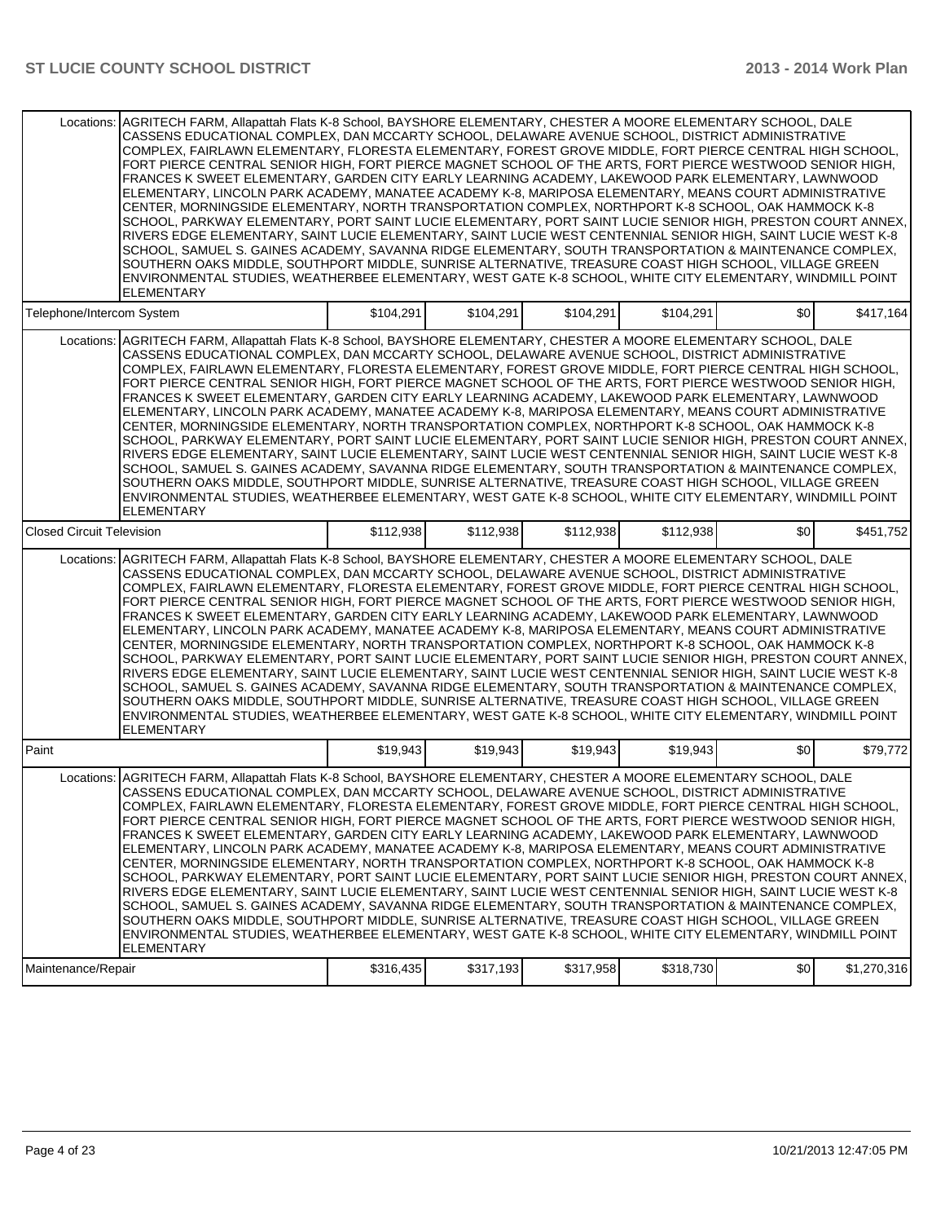| Locations:                       | AGRITECH FARM, Allapattah Flats K-8 School, BAYSHORE ELEMENTARY, CHESTER A MOORE ELEMENTARY SCHOOL, DALE<br>CASSENS EDUCATIONAL COMPLEX, DAN MCCARTY SCHOOL, DELAWARE AVENUE SCHOOL, DISTRICT ADMINISTRATIVE<br>COMPLEX, FAIRLAWN ELEMENTARY, FLORESTA ELEMENTARY, FOREST GROVE MIDDLE, FORT PIERCE CENTRAL HIGH SCHOOL,<br>FORT PIERCE CENTRAL SENIOR HIGH, FORT PIERCE MAGNET SCHOOL OF THE ARTS, FORT PIERCE WESTWOOD SENIOR HIGH,<br>FRANCES K SWEET ELEMENTARY, GARDEN CITY EARLY LEARNING ACADEMY, LAKEWOOD PARK ELEMENTARY, LAWNWOOD<br>ELEMENTARY, LINCOLN PARK ACADEMY, MANATEE ACADEMY K-8, MARIPOSA ELEMENTARY, MEANS COURT ADMINISTRATIVE<br>CENTER, MORNINGSIDE ELEMENTARY, NORTH TRANSPORTATION COMPLEX, NORTHPORT K-8 SCHOOL, OAK HAMMOCK K-8<br>SCHOOL. PARKWAY ELEMENTARY, PORT SAINT LUCIE ELEMENTARY, PORT SAINT LUCIE SENIOR HIGH, PRESTON COURT ANNEX.<br>RIVERS EDGE ELEMENTARY, SAINT LUCIE ELEMENTARY, SAINT LUCIE WEST CENTENNIAL SENIOR HIGH, SAINT LUCIE WEST K-8<br>SCHOOL, SAMUEL S. GAINES ACADEMY, SAVANNA RIDGE ELEMENTARY, SOUTH TRANSPORTATION & MAINTENANCE COMPLEX,<br>SOUTHERN OAKS MIDDLE, SOUTHPORT MIDDLE, SUNRISE ALTERNATIVE, TREASURE COAST HIGH SCHOOL, VILLAGE GREEN<br>ENVIRONMENTAL STUDIES, WEATHERBEE ELEMENTARY, WEST GATE K-8 SCHOOL, WHITE CITY ELEMENTARY, WINDMILL POINT<br><b>ELEMENTARY</b>            |           |           |           |           |      |             |
|----------------------------------|----------------------------------------------------------------------------------------------------------------------------------------------------------------------------------------------------------------------------------------------------------------------------------------------------------------------------------------------------------------------------------------------------------------------------------------------------------------------------------------------------------------------------------------------------------------------------------------------------------------------------------------------------------------------------------------------------------------------------------------------------------------------------------------------------------------------------------------------------------------------------------------------------------------------------------------------------------------------------------------------------------------------------------------------------------------------------------------------------------------------------------------------------------------------------------------------------------------------------------------------------------------------------------------------------------------------------------------------------------------|-----------|-----------|-----------|-----------|------|-------------|
| Telephone/Intercom System        |                                                                                                                                                                                                                                                                                                                                                                                                                                                                                                                                                                                                                                                                                                                                                                                                                                                                                                                                                                                                                                                                                                                                                                                                                                                                                                                                                                | \$104,291 | \$104,291 | \$104,291 | \$104,291 | \$0  | \$417,164   |
|                                  | Locations: AGRITECH FARM, Allapattah Flats K-8 School, BAYSHORE ELEMENTARY, CHESTER A MOORE ELEMENTARY SCHOOL, DALE<br>CASSENS EDUCATIONAL COMPLEX, DAN MCCARTY SCHOOL, DELAWARE AVENUE SCHOOL, DISTRICT ADMINISTRATIVE<br>COMPLEX, FAIRLAWN ELEMENTARY, FLORESTA ELEMENTARY, FOREST GROVE MIDDLE, FORT PIERCE CENTRAL HIGH SCHOOL,<br>FORT PIERCE CENTRAL SENIOR HIGH, FORT PIERCE MAGNET SCHOOL OF THE ARTS, FORT PIERCE WESTWOOD SENIOR HIGH,<br>FRANCES K SWEET ELEMENTARY, GARDEN CITY EARLY LEARNING ACADEMY, LAKEWOOD PARK ELEMENTARY, LAWNWOOD<br>ELEMENTARY, LINCOLN PARK ACADEMY, MANATEE ACADEMY K-8, MARIPOSA ELEMENTARY, MEANS COURT ADMINISTRATIVE<br>CENTER, MORNINGSIDE ELEMENTARY, NORTH TRANSPORTATION COMPLEX, NORTHPORT K-8 SCHOOL, OAK HAMMOCK K-8<br>SCHOOL, PARKWAY ELEMENTARY, PORT SAINT LUCIE ELEMENTARY, PORT SAINT LUCIE SENIOR HIGH, PRESTON COURT ANNEX,<br>RIVERS EDGE ELEMENTARY, SAINT LUCIE ELEMENTARY, SAINT LUCIE WEST CENTENNIAL SENIOR HIGH, SAINT LUCIE WEST K-8<br>SCHOOL, SAMUEL S. GAINES ACADEMY, SAVANNA RIDGE ELEMENTARY, SOUTH TRANSPORTATION & MAINTENANCE COMPLEX,<br>SOUTHERN OAKS MIDDLE, SOUTHPORT MIDDLE, SUNRISE ALTERNATIVE, TREASURE COAST HIGH SCHOOL, VILLAGE GREEN<br>ENVIRONMENTAL STUDIES, WEATHERBEE ELEMENTARY, WEST GATE K-8 SCHOOL, WHITE CITY ELEMENTARY, WINDMILL POINT<br><b>ELEMENTARY</b> |           |           |           |           |      |             |
| <b>Closed Circuit Television</b> |                                                                                                                                                                                                                                                                                                                                                                                                                                                                                                                                                                                                                                                                                                                                                                                                                                                                                                                                                                                                                                                                                                                                                                                                                                                                                                                                                                | \$112,938 | \$112,938 | \$112,938 | \$112,938 | \$0  | \$451.752   |
| Locations:                       | AGRITECH FARM, Allapattah Flats K-8 School, BAYSHORE ELEMENTARY, CHESTER A MOORE ELEMENTARY SCHOOL, DALE<br>CASSENS EDUCATIONAL COMPLEX, DAN MCCARTY SCHOOL, DELAWARE AVENUE SCHOOL, DISTRICT ADMINISTRATIVE<br>COMPLEX, FAIRLAWN ELEMENTARY, FLORESTA ELEMENTARY, FOREST GROVE MIDDLE, FORT PIERCE CENTRAL HIGH SCHOOL,<br>FORT PIERCE CENTRAL SENIOR HIGH, FORT PIERCE MAGNET SCHOOL OF THE ARTS, FORT PIERCE WESTWOOD SENIOR HIGH,<br>FRANCES K SWEET ELEMENTARY, GARDEN CITY EARLY LEARNING ACADEMY, LAKEWOOD PARK ELEMENTARY, LAWNWOOD<br>ELEMENTARY, LINCOLN PARK ACADEMY, MANATEE ACADEMY K-8, MARIPOSA ELEMENTARY, MEANS COURT ADMINISTRATIVE<br>CENTER, MORNINGSIDE ELEMENTARY, NORTH TRANSPORTATION COMPLEX, NORTHPORT K-8 SCHOOL, OAK HAMMOCK K-8<br>SCHOOL, PARKWAY ELEMENTARY, PORT SAINT LUCIE ELEMENTARY, PORT SAINT LUCIE SENIOR HIGH, PRESTON COURT ANNEX,<br>RIVERS EDGE ELEMENTARY, SAINT LUCIE ELEMENTARY, SAINT LUCIE WEST CENTENNIAL SENIOR HIGH, SAINT LUCIE WEST K-8<br>SCHOOL, SAMUEL S. GAINES ACADEMY, SAVANNA RIDGE ELEMENTARY, SOUTH TRANSPORTATION & MAINTENANCE COMPLEX,<br>SOUTHERN OAKS MIDDLE, SOUTHPORT MIDDLE, SUNRISE ALTERNATIVE, TREASURE COAST HIGH SCHOOL, VILLAGE GREEN<br>ENVIRONMENTAL STUDIES, WEATHERBEE ELEMENTARY, WEST GATE K-8 SCHOOL, WHITE CITY ELEMENTARY, WINDMILL POINT<br><b>ELEMENTARY</b>            |           |           |           |           |      |             |
| Paint                            |                                                                                                                                                                                                                                                                                                                                                                                                                                                                                                                                                                                                                                                                                                                                                                                                                                                                                                                                                                                                                                                                                                                                                                                                                                                                                                                                                                | \$19,943  | \$19,943  | \$19,943  | \$19,943  | \$0  | \$79,772    |
| Locations:                       | AGRITECH FARM, Allapattah Flats K-8 School, BAYSHORE ELEMENTARY, CHESTER A MOORE ELEMENTARY SCHOOL, DALE<br>CASSENS EDUCATIONAL COMPLEX, DAN MCCARTY SCHOOL, DELAWARE AVENUE SCHOOL, DISTRICT ADMINISTRATIVE<br>COMPLEX, FAIRLAWN ELEMENTARY, FLORESTA ELEMENTARY, FOREST GROVE MIDDLE, FORT PIERCE CENTRAL HIGH SCHOOL,<br>FORT PIERCE CENTRAL SENIOR HIGH. FORT PIERCE MAGNET SCHOOL OF THE ARTS. FORT PIERCE WESTWOOD SENIOR HIGH.<br>FRANCES K SWEET ELEMENTARY, GARDEN CITY EARLY LEARNING ACADEMY, LAKEWOOD PARK ELEMENTARY, LAWNWOOD<br>ELEMENTARY, LINCOLN PARK ACADEMY, MANATEE ACADEMY K-8, MARIPOSA ELEMENTARY, MEANS COURT ADMINISTRATIVE<br>CENTER, MORNINGSIDE ELEMENTARY, NORTH TRANSPORTATION COMPLEX, NORTHPORT K-8 SCHOOL, OAK HAMMOCK K-8<br>SCHOOL, PARKWAY ELEMENTARY, PORT SAINT LUCIE ELEMENTARY, PORT SAINT LUCIE SENIOR HIGH, PRESTON COURT ANNEX,<br>RIVERS EDGE ELEMENTARY, SAINT LUCIE ELEMENTARY, SAINT LUCIE WEST CENTENNIAL SENIOR HIGH, SAINT LUCIE WEST K-8<br>SCHOOL, SAMUEL S. GAINES ACADEMY, SAVANNA RIDGE ELEMENTARY, SOUTH TRANSPORTATION & MAINTENANCE COMPLEX,<br>SOUTHERN OAKS MIDDLE, SOUTHPORT MIDDLE, SUNRISE ALTERNATIVE, TREASURE COAST HIGH SCHOOL, VILLAGE GREEN<br>ENVIRONMENTAL STUDIES, WEATHERBEE ELEMENTARY, WEST GATE K-8 SCHOOL, WHITE CITY ELEMENTARY, WINDMILL POINT<br><b>ELEMENTARY</b>            |           |           |           |           |      |             |
| Maintenance/Repair               |                                                                                                                                                                                                                                                                                                                                                                                                                                                                                                                                                                                                                                                                                                                                                                                                                                                                                                                                                                                                                                                                                                                                                                                                                                                                                                                                                                | \$316,435 | \$317,193 | \$317,958 | \$318,730 | \$0] | \$1,270,316 |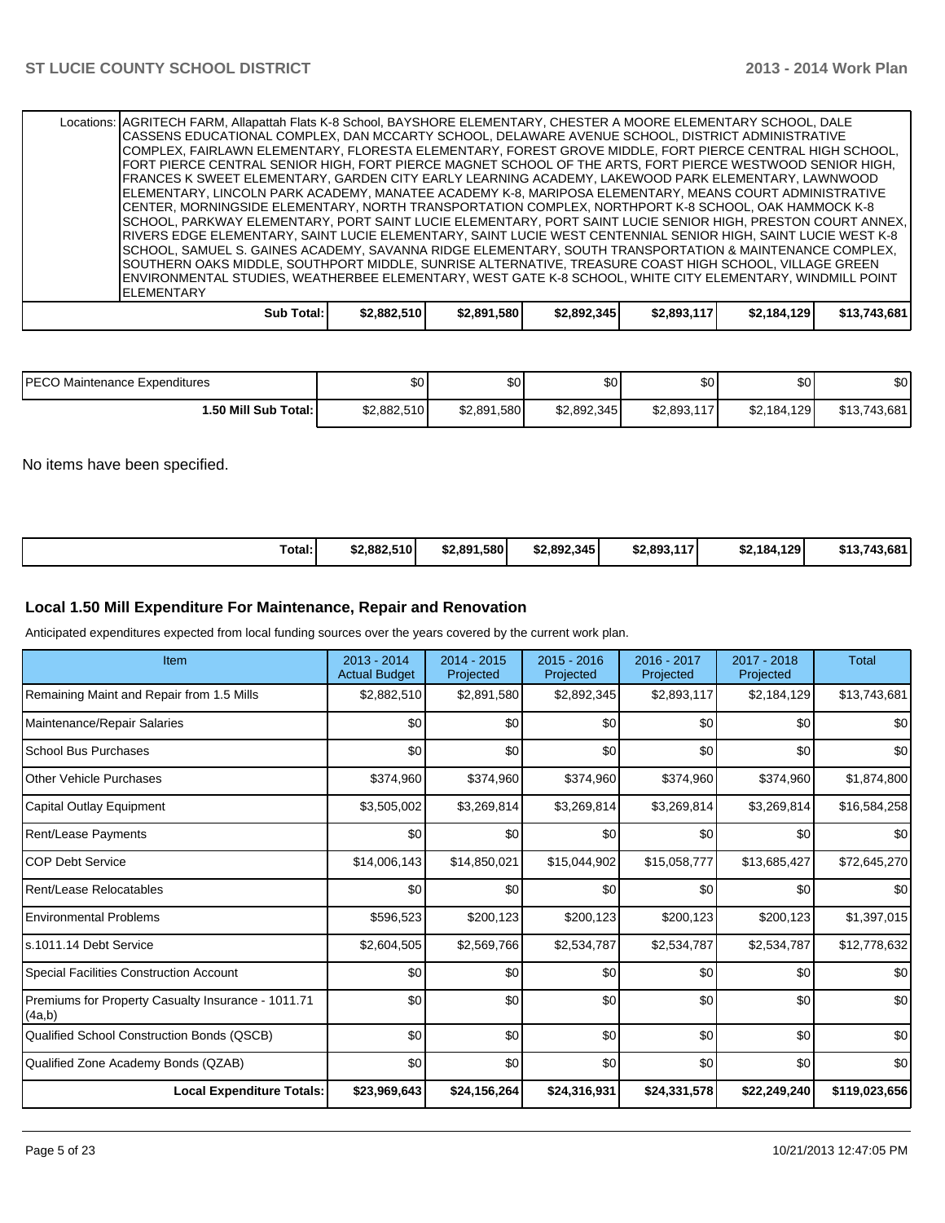| Locations:   AGRITECH FARM, Allapattah Flats K-8 School, BAYSHORE ELEMENTARY, CHESTER A MOORE ELEMENTARY SCHOOL, DALE |             |             |             |             |             |              |
|-----------------------------------------------------------------------------------------------------------------------|-------------|-------------|-------------|-------------|-------------|--------------|
| CASSENS EDUCATIONAL COMPLEX, DAN MCCARTY SCHOOL, DELAWARE AVENUE SCHOOL, DISTRICT ADMINISTRATIVE                      |             |             |             |             |             |              |
| COMPLEX, FAIRLAWN ELEMENTARY, FLORESTA ELEMENTARY, FOREST GROVE MIDDLE, FORT PIERCE CENTRAL HIGH SCHOOL,              |             |             |             |             |             |              |
| FORT PIERCE CENTRAL SENIOR HIGH, FORT PIERCE MAGNET SCHOOL OF THE ARTS, FORT PIERCE WESTWOOD SENIOR HIGH,             |             |             |             |             |             |              |
| FRANCES K SWEET ELEMENTARY, GARDEN CITY EARLY LEARNING ACADEMY, LAKEWOOD PARK ELEMENTARY, LAWNWOOD                    |             |             |             |             |             |              |
| ELEMENTARY, LINCOLN PARK ACADEMY, MANATEE ACADEMY K-8, MARIPOSA ELEMENTARY, MEANS COURT ADMINISTRATIVE                |             |             |             |             |             |              |
| CENTER, MORNINGSIDE ELEMENTARY, NORTH TRANSPORTATION COMPLEX, NORTHPORT K-8 SCHOOL, OAK HAMMOCK K-8                   |             |             |             |             |             |              |
| SCHOOL, PARKWAY ELEMENTARY, PORT SAINT LUCIE ELEMENTARY, PORT SAINT LUCIE SENIOR HIGH, PRESTON COURT ANNEX,           |             |             |             |             |             |              |
| RIVERS EDGE ELEMENTARY, SAINT LUCIE ELEMENTARY, SAINT LUCIE WEST CENTENNIAL SENIOR HIGH, SAINT LUCIE WEST K-8         |             |             |             |             |             |              |
| ISCHOOL. SAMUEL S. GAINES ACADEMY. SAVANNA RIDGE ELEMENTARY. SOUTH TRANSPORTATION & MAINTENANCE COMPLEX.              |             |             |             |             |             |              |
| SOUTHERN OAKS MIDDLE, SOUTHPORT MIDDLE, SUNRISE ALTERNATIVE, TREASURE COAST HIGH SCHOOL, VILLAGE GREEN                |             |             |             |             |             |              |
| ENVIRONMENTAL STUDIES, WEATHERBEE ELEMENTARY, WEST GATE K-8 SCHOOL, WHITE CITY ELEMENTARY, WINDMILL POINT             |             |             |             |             |             |              |
| <b>ELEMENTARY</b>                                                                                                     |             |             |             |             |             |              |
| Sub Total:                                                                                                            | \$2,882.510 | \$2,891,580 | \$2,892,345 | \$2,893,117 | \$2.184.129 | \$13,743,681 |

| <b>IPECO Maintenance Expenditures</b> | \$0         | $\sim$<br>wυ | ሶስ<br>აი    | \$0                | ድሰ<br>υ     | \$0          |
|---------------------------------------|-------------|--------------|-------------|--------------------|-------------|--------------|
| 50 Mill Sub Total: I                  | \$2,882,510 | \$2,891,580  | \$2,892,345 | \$2,893,117<br>447 | \$2,184,129 | \$13,743,681 |

No items have been specified.

| Total: | \$2.882.510 | \$2,891,580 | \$2,892,345 | \$2,893,117 | \$2,184,129 | \$13,743,681 |
|--------|-------------|-------------|-------------|-------------|-------------|--------------|
|--------|-------------|-------------|-------------|-------------|-------------|--------------|

# **Local 1.50 Mill Expenditure For Maintenance, Repair and Renovation**

Anticipated expenditures expected from local funding sources over the years covered by the current work plan.

| Item                                                         | $2013 - 2014$<br><b>Actual Budget</b> | 2014 - 2015<br>Projected | 2015 - 2016<br>Projected | 2016 - 2017<br>Projected | 2017 - 2018<br>Projected | <b>Total</b>  |
|--------------------------------------------------------------|---------------------------------------|--------------------------|--------------------------|--------------------------|--------------------------|---------------|
| Remaining Maint and Repair from 1.5 Mills                    | \$2,882,510                           | \$2,891,580              | \$2,892,345              | \$2,893,117              | \$2,184,129              | \$13,743,681  |
| Maintenance/Repair Salaries                                  | \$0                                   | \$0                      | \$0                      | \$0                      | \$0                      | \$0           |
| School Bus Purchases                                         | \$0                                   | \$0                      | \$0                      | \$0                      | \$0                      | \$0           |
| <b>Other Vehicle Purchases</b>                               | \$374,960                             | \$374,960                | \$374,960                | \$374,960                | \$374,960                | \$1,874,800   |
| Capital Outlay Equipment                                     | \$3,505,002                           | \$3,269,814              | \$3,269,814              | \$3,269,814              | \$3,269,814              | \$16,584,258  |
| Rent/Lease Payments                                          | \$0                                   | \$0                      | \$0                      | \$0                      | \$0                      | \$0           |
| <b>COP Debt Service</b>                                      | \$14,006,143                          | \$14,850,021             | \$15,044,902             | \$15,058,777             | \$13,685,427             | \$72,645,270  |
| Rent/Lease Relocatables                                      | \$0                                   | \$0                      | \$0                      | \$0                      | \$0                      | \$0           |
| <b>Environmental Problems</b>                                | \$596,523                             | \$200,123                | \$200,123                | \$200,123                | \$200,123                | \$1,397,015   |
| ls.1011.14 Debt Service                                      | \$2,604,505                           | \$2,569,766              | \$2,534,787              | \$2,534,787              | \$2,534,787              | \$12,778,632  |
| <b>Special Facilities Construction Account</b>               | \$0                                   | \$0                      | \$0                      | \$0                      | \$0                      | \$0           |
| Premiums for Property Casualty Insurance - 1011.71<br>(4a,b) | \$0                                   | \$0                      | \$0                      | \$0                      | \$0                      | \$0           |
| Qualified School Construction Bonds (QSCB)                   | \$0                                   | \$0                      | \$0                      | \$0                      | \$0                      | \$0           |
| Qualified Zone Academy Bonds (QZAB)                          | \$0                                   | \$0                      | \$0                      | \$0                      | \$0                      | \$0           |
| <b>Local Expenditure Totals:</b>                             | \$23,969,643                          | \$24,156,264]            | \$24,316,931             | \$24,331,578             | \$22,249,240             | \$119,023,656 |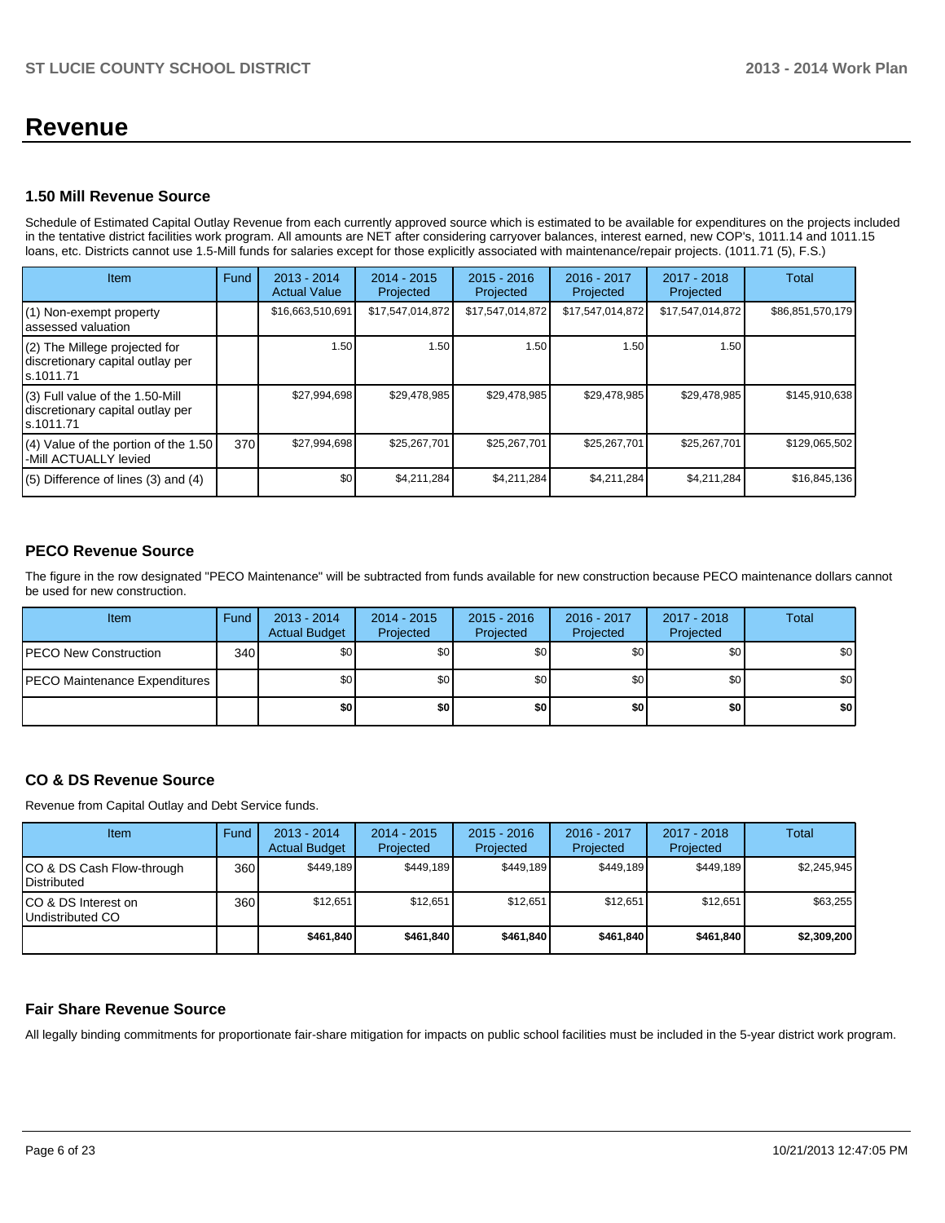# **Revenue**

#### **1.50 Mill Revenue Source**

Schedule of Estimated Capital Outlay Revenue from each currently approved source which is estimated to be available for expenditures on the projects included in the tentative district facilities work program. All amounts are NET after considering carryover balances, interest earned, new COP's, 1011.14 and 1011.15 loans, etc. Districts cannot use 1.5-Mill funds for salaries except for those explicitly associated with maintenance/repair projects. (1011.71 (5), F.S.)

| <b>Item</b>                                                                         | Fund | $2013 - 2014$<br><b>Actual Value</b> | $2014 - 2015$<br>Projected | $2015 - 2016$<br>Projected | $2016 - 2017$<br>Projected | $2017 - 2018$<br>Projected | Total            |
|-------------------------------------------------------------------------------------|------|--------------------------------------|----------------------------|----------------------------|----------------------------|----------------------------|------------------|
| (1) Non-exempt property<br>lassessed valuation                                      |      | \$16,663,510,691                     | \$17,547,014,872           | \$17,547,014,872           | \$17,547,014,872           | \$17,547,014,872           | \$86,851,570,179 |
| $(2)$ The Millege projected for<br>discretionary capital outlay per<br>ls.1011.71   |      | 1.50                                 | 1.50                       | 1.50                       | 1.50                       | 1.50                       |                  |
| $(3)$ Full value of the 1.50-Mill<br>discretionary capital outlay per<br>ls.1011.71 |      | \$27,994,698                         | \$29,478,985               | \$29,478,985               | \$29,478,985               | \$29,478,985               | \$145,910,638    |
| (4) Value of the portion of the 1.50<br>-Mill ACTUALLY levied                       | 370  | \$27,994,698                         | \$25,267,701               | \$25,267,701               | \$25,267,701               | \$25,267,701               | \$129,065,502    |
| $(5)$ Difference of lines $(3)$ and $(4)$                                           |      | \$0                                  | \$4,211,284                | \$4,211,284                | \$4,211,284                | \$4,211,284                | \$16,845,136     |

# **PECO Revenue Source**

The figure in the row designated "PECO Maintenance" will be subtracted from funds available for new construction because PECO maintenance dollars cannot be used for new construction.

| Item                                  | Fund | $2013 - 2014$<br><b>Actual Budget</b> | $2014 - 2015$<br>Projected | $2015 - 2016$<br>Projected | 2016 - 2017<br>Projected | 2017 - 2018<br>Projected | <b>Total</b> |
|---------------------------------------|------|---------------------------------------|----------------------------|----------------------------|--------------------------|--------------------------|--------------|
| <b>PECO New Construction</b>          | 340  | \$0                                   | \$0                        | \$0 <sub>1</sub>           | \$0 <sub>0</sub>         | \$0                      | \$0          |
| <b>IPECO Maintenance Expenditures</b> |      | \$0 <sub>1</sub>                      | \$0                        | \$0 <sub>1</sub>           | \$0 <sub>0</sub>         | \$0                      | \$0          |
|                                       |      | \$0                                   | \$0                        | \$0 <sub>1</sub>           | \$0 l                    | \$0                      | \$0          |

## **CO & DS Revenue Source**

Revenue from Capital Outlay and Debt Service funds.

| Item                                               | Fund | $2013 - 2014$<br><b>Actual Budget</b> | $2014 - 2015$<br>Projected | $2015 - 2016$<br>Projected | 2016 - 2017<br>Projected | $2017 - 2018$<br>Projected | Total       |
|----------------------------------------------------|------|---------------------------------------|----------------------------|----------------------------|--------------------------|----------------------------|-------------|
| ICO & DS Cash Flow-through<br><b>I</b> Distributed | 360  | \$449.189                             | \$449.189                  | \$449.189                  | \$449.189                | \$449.189                  | \$2,245,945 |
| ICO & DS Interest on<br>Undistributed CO           | 360  | \$12.651                              | \$12.651                   | \$12,651                   | \$12.651                 | \$12.651                   | \$63,255    |
|                                                    |      | \$461.840                             | \$461,840                  | \$461.840                  | \$461.840                | \$461,840                  | \$2,309,200 |

#### **Fair Share Revenue Source**

All legally binding commitments for proportionate fair-share mitigation for impacts on public school facilities must be included in the 5-year district work program.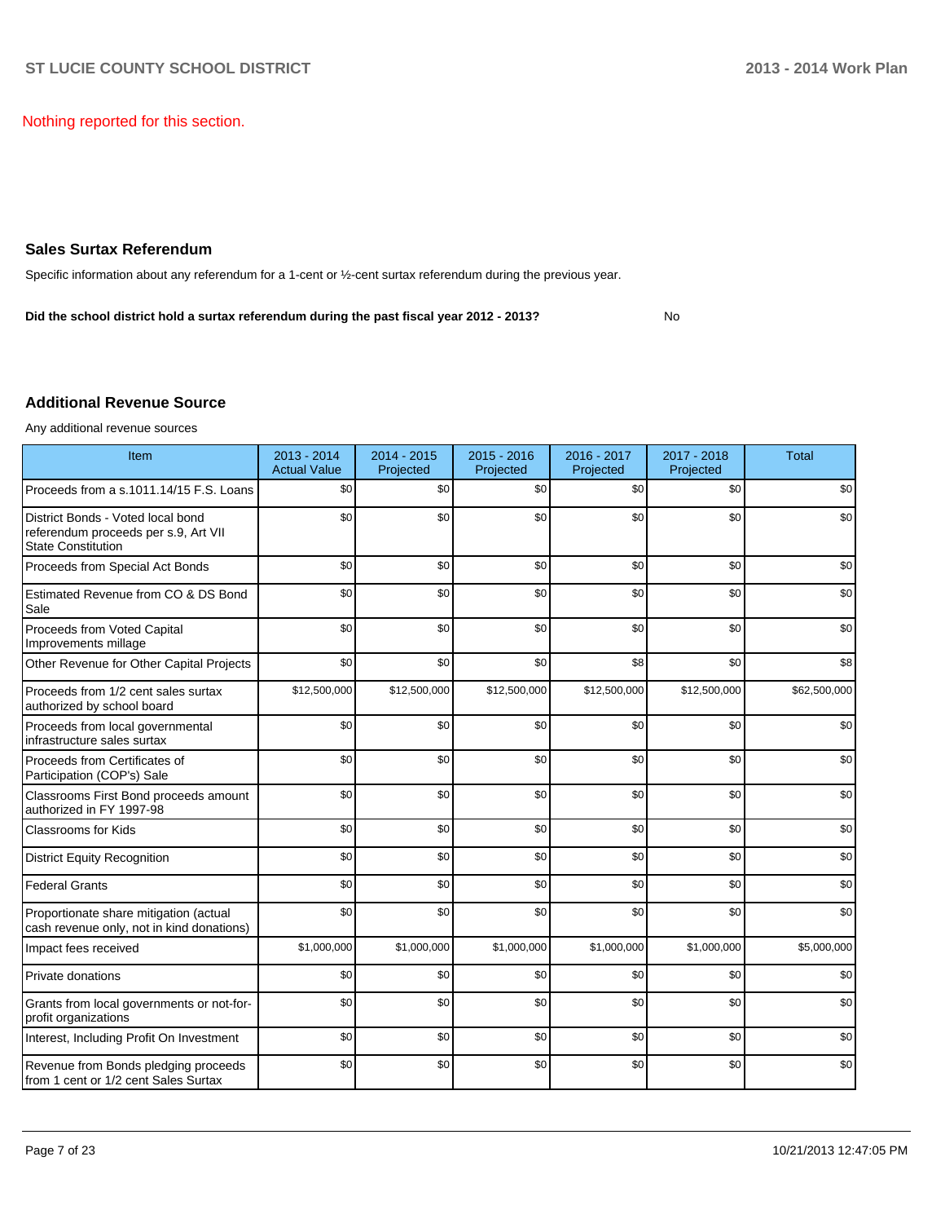Nothing reported for this section.

### **Sales Surtax Referendum**

Specific information about any referendum for a 1-cent or ½-cent surtax referendum during the previous year.

**Did the school district hold a surtax referendum during the past fiscal year 2012 - 2013?**

No

### **Additional Revenue Source**

Any additional revenue sources

| Item                                                                                                   | 2013 - 2014<br><b>Actual Value</b> | 2014 - 2015<br>Projected | $2015 - 2016$<br>Projected | 2016 - 2017<br>Projected | 2017 - 2018<br>Projected | <b>Total</b> |
|--------------------------------------------------------------------------------------------------------|------------------------------------|--------------------------|----------------------------|--------------------------|--------------------------|--------------|
| Proceeds from a s.1011.14/15 F.S. Loans                                                                | \$0                                | \$0                      | \$0                        | \$0                      | \$0                      | \$0          |
| District Bonds - Voted local bond<br>referendum proceeds per s.9, Art VII<br><b>State Constitution</b> | \$0                                | \$0                      | \$0                        | \$0                      | \$0                      | \$0          |
| Proceeds from Special Act Bonds                                                                        | \$0                                | \$0                      | \$0                        | \$0                      | \$0                      | \$0          |
| Estimated Revenue from CO & DS Bond<br>Sale                                                            | \$0                                | \$0                      | \$0                        | \$0                      | \$0                      | \$0          |
| Proceeds from Voted Capital<br>Improvements millage                                                    | \$0                                | \$0                      | \$0                        | \$0                      | \$0                      | \$0          |
| Other Revenue for Other Capital Projects                                                               | \$0                                | \$0                      | \$0                        | \$8                      | \$0                      | \$8          |
| Proceeds from 1/2 cent sales surtax<br>authorized by school board                                      | \$12,500,000                       | \$12,500,000             | \$12,500,000               | \$12,500,000             | \$12,500,000             | \$62,500,000 |
| Proceeds from local governmental<br>infrastructure sales surtax                                        | \$0                                | \$0                      | \$0                        | \$0                      | \$0                      | \$0          |
| Proceeds from Certificates of<br>Participation (COP's) Sale                                            | \$0                                | \$0                      | \$0                        | \$0                      | \$0                      | \$0          |
| Classrooms First Bond proceeds amount<br>authorized in FY 1997-98                                      | \$0                                | \$0                      | \$0                        | \$0                      | \$0                      | \$0          |
| <b>Classrooms for Kids</b>                                                                             | \$0                                | \$0                      | \$0                        | \$0                      | \$0                      | \$0          |
| <b>District Equity Recognition</b>                                                                     | \$0                                | \$0                      | \$0                        | \$0                      | \$0                      | \$0          |
| <b>Federal Grants</b>                                                                                  | \$0                                | \$0                      | \$0                        | \$0                      | \$0                      | \$0          |
| Proportionate share mitigation (actual<br>cash revenue only, not in kind donations)                    | \$0                                | \$0                      | \$0                        | \$0                      | \$0                      | \$0          |
| Impact fees received                                                                                   | \$1,000,000                        | \$1,000,000              | \$1,000,000                | \$1,000,000              | \$1,000,000              | \$5,000,000  |
| Private donations                                                                                      | \$0                                | \$0                      | \$0                        | \$0                      | \$0                      | \$0          |
| Grants from local governments or not-for-<br>profit organizations                                      | \$0                                | \$0                      | \$0                        | \$0                      | \$0                      | \$0          |
| Interest, Including Profit On Investment                                                               | \$0                                | \$0                      | \$0                        | \$0                      | \$0                      | \$0          |
| Revenue from Bonds pledging proceeds<br>from 1 cent or 1/2 cent Sales Surtax                           | \$0                                | \$0                      | \$0                        | \$0                      | \$0                      | \$0          |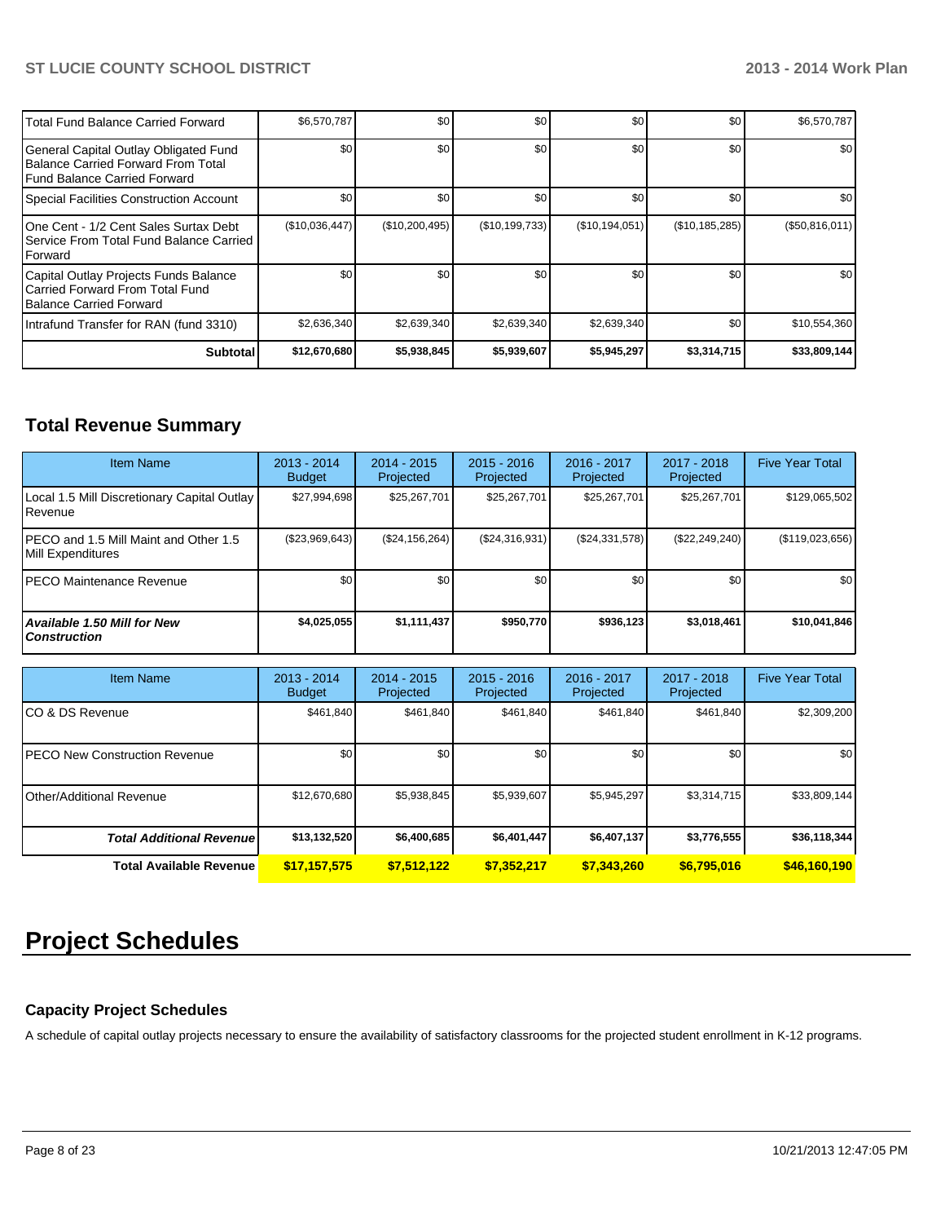| Total Fund Balance Carried Forward                                                                                  | \$6,570,787    | \$0            | \$0            | \$0            | \$0              | \$6,570,787    |
|---------------------------------------------------------------------------------------------------------------------|----------------|----------------|----------------|----------------|------------------|----------------|
| General Capital Outlay Obligated Fund<br>Balance Carried Forward From Total<br><b>IFund Balance Carried Forward</b> | \$0            | \$0            | \$0            | \$0            | \$0              | \$0            |
| Special Facilities Construction Account                                                                             | \$0            | \$0            | \$0            | \$0            | \$0              | \$0            |
| IOne Cent - 1/2 Cent Sales Surtax Debt<br>I Service From Total Fund Balance Carried I<br><b>IForward</b>            | (\$10,036,447) | (\$10,200,495) | (\$10,199,733) | (\$10,194,051) | (\$10, 185, 285) | (\$50,816,011) |
| Capital Outlay Projects Funds Balance<br>I Carried Forward From Total Fund<br><b>IBalance Carried Forward</b>       | \$0            | \$0            | \$0            | \$0            | \$0              | \$0            |
| Intrafund Transfer for RAN (fund 3310)                                                                              | \$2,636,340    | \$2,639,340    | \$2,639,340    | \$2,639,340    | \$0              | \$10,554,360   |
| <b>Subtotal</b>                                                                                                     | \$12,670,680   | \$5,938,845    | \$5,939,607    | \$5,945,297    | \$3,314,715      | \$33,809,144   |

# **Total Revenue Summary**

| <b>Item Name</b>                                                   | $2013 - 2014$<br><b>Budget</b> | $2014 - 2015$<br>Projected | $2015 - 2016$<br><b>Projected</b> | $2016 - 2017$<br>Projected | $2017 - 2018$<br>Projected | <b>Five Year Total</b> |
|--------------------------------------------------------------------|--------------------------------|----------------------------|-----------------------------------|----------------------------|----------------------------|------------------------|
| Local 1.5 Mill Discretionary Capital Outlay<br><b>IRevenue</b>     | \$27,994,698                   | \$25.267.701               | \$25,267,701                      | \$25,267,701               | \$25,267,701               | \$129,065,502          |
| <b>IPECO and 1.5 Mill Maint and Other 1.5</b><br>Mill Expenditures | (S23,969,643)                  | (\$24, 156, 264)           | (S24, 316, 931)                   | $(\$24,331,578)$           | (\$22, 249, 240)           | (\$119,023,656)        |
| IPECO Maintenance Revenue                                          | \$0                            | \$0                        | \$0                               | \$0                        | \$0                        | \$0 <sub>1</sub>       |
| Available 1.50 Mill for New<br>l Construction                      | \$4,025,055                    | \$1,111,437                | \$950,770                         | \$936,123                  | \$3,018,461                | \$10,041,846           |

| <b>Item Name</b>                      | $2013 - 2014$<br><b>Budget</b> | $2014 - 2015$<br>Projected | $2015 - 2016$<br>Projected | $2016 - 2017$<br>Projected | $2017 - 2018$<br>Projected | <b>Five Year Total</b> |
|---------------------------------------|--------------------------------|----------------------------|----------------------------|----------------------------|----------------------------|------------------------|
| ICO & DS Revenue                      | \$461,840                      | \$461.840                  | \$461.840                  | \$461.840                  | \$461,840                  | \$2,309,200            |
| <b>IPECO New Construction Revenue</b> | \$0 <sub>1</sub>               | \$0                        | \$0                        | \$0                        | \$0                        | \$0 <sub>1</sub>       |
| Other/Additional Revenue              | \$12,670,680                   | \$5,938,845                | \$5,939,607                | \$5,945,297                | \$3,314,715                | \$33,809,144           |
| <b>Total Additional Revenuel</b>      | \$13,132,520                   | \$6,400,685                | \$6,401,447                | \$6,407,137                | \$3,776,555                | \$36,118,344           |
| <b>Total Available Revenue</b>        | \$17,157,575                   | \$7,512,122                | \$7,352,217                | \$7,343,260                | \$6,795,016                | \$46,160,190           |

# **Project Schedules**

# **Capacity Project Schedules**

A schedule of capital outlay projects necessary to ensure the availability of satisfactory classrooms for the projected student enrollment in K-12 programs.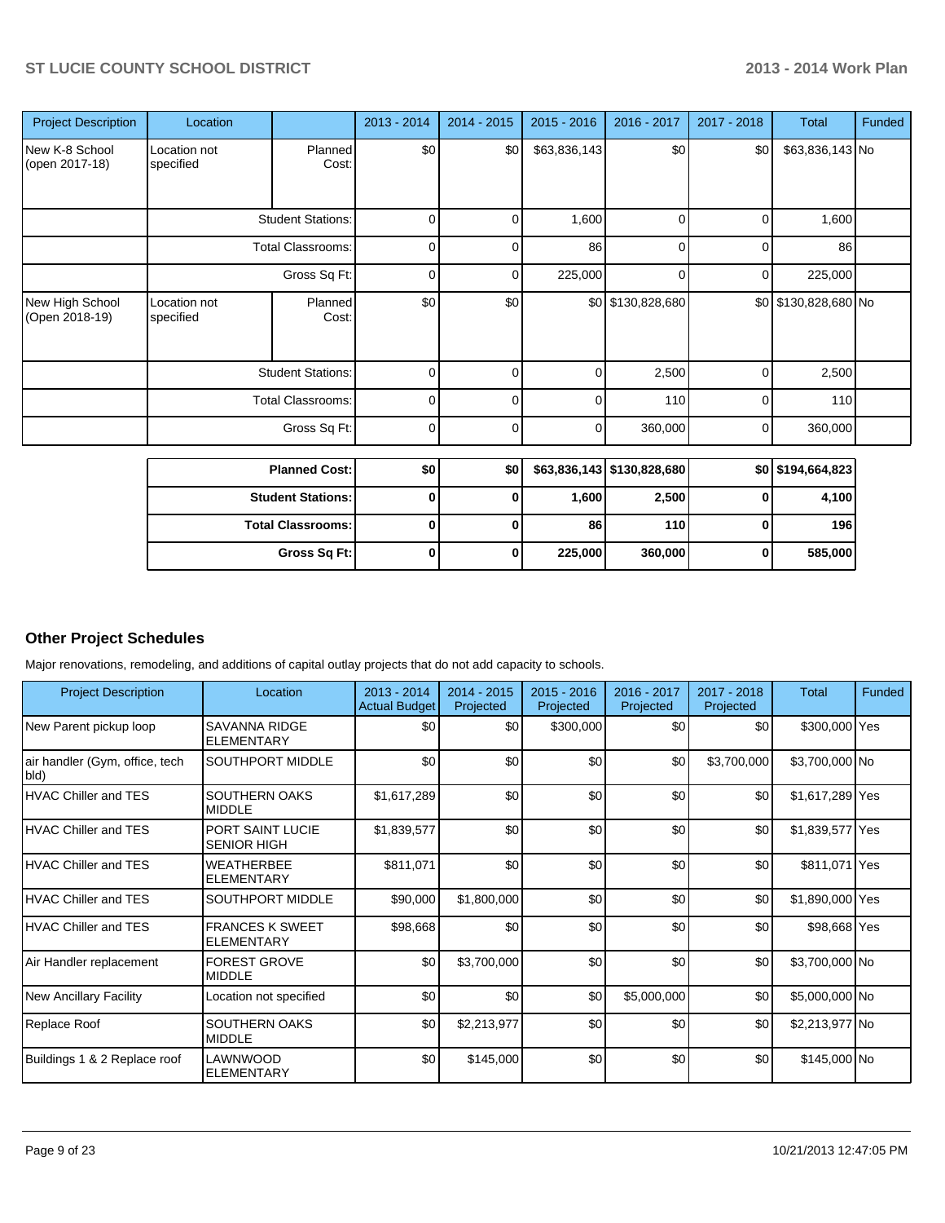| <b>Project Description</b>        | Location                  |                  | $2013 - 2014$ | $2014 - 2015$ | $2015 - 2016$ | $2016 - 2017$     | 2017 - 2018 | <b>Total</b>         | Funded |
|-----------------------------------|---------------------------|------------------|---------------|---------------|---------------|-------------------|-------------|----------------------|--------|
| New K-8 School<br>(open 2017-18)  | Location not<br>specified | Planned<br>Cost: | \$0           | \$0           | \$63,836,143  | \$0               | \$0         | \$63,836,143 No      |        |
|                                   | <b>Student Stations:</b>  |                  | 0             | n.            | 1,600         | $\Omega$          | $\Omega$    | 1,600                |        |
|                                   | <b>Total Classrooms:</b>  |                  | 0             | n             | 86            | $\Omega$          | $\Omega$    | 86                   |        |
|                                   | Gross Sq Ft:              |                  | 0             | U             | 225,000       | $\Omega$          | $\Omega$    | 225,000              |        |
| New High School<br>(Open 2018-19) | Location not<br>specified | Planned<br>Cost: | \$0           | \$0           |               | \$0 \$130,828,680 |             | \$0 \$130,828,680 No |        |
|                                   | <b>Student Stations:</b>  |                  | $\Omega$      | $\Omega_{1}$  | $\Omega$      | 2,500             | 0           | 2,500                |        |
|                                   | Total Classrooms:         |                  | $\Omega$      | U             | $\Omega$      | 110               | $\Omega$    | 110                  |        |
|                                   |                           | Gross Sq Ft:     | $\mathbf 0$   | O             | $\Omega$      | 360,000           | $\Omega$    | 360,000              |        |

| <b>Planned Cost:</b>       | \$0 | \$0 |         | \$63,836,143   \$130,828,680 | \$0 \$194,664,823 |
|----------------------------|-----|-----|---------|------------------------------|-------------------|
| <b>Student Stations:</b>   |     |     | 1,600   | 2,500                        | 4,100             |
| <b>Total Classrooms: I</b> |     |     | 86      | 110I                         | 196               |
| Gross Sq Ft:               |     | 0   | 225,000 | 360,000                      | 585,000           |

# **Other Project Schedules**

Major renovations, remodeling, and additions of capital outlay projects that do not add capacity to schools.

| <b>Project Description</b>             | Location                                    | 2013 - 2014<br><b>Actual Budget</b> | $2014 - 2015$<br>Projected | $2015 - 2016$<br>Projected | 2016 - 2017<br>Projected | $2017 - 2018$<br>Projected | <b>Total</b>    | Funded |
|----------------------------------------|---------------------------------------------|-------------------------------------|----------------------------|----------------------------|--------------------------|----------------------------|-----------------|--------|
| New Parent pickup loop                 | <b>SAVANNA RIDGE</b><br><b>ELEMENTARY</b>   | \$0                                 | \$0                        | \$300,000                  | \$0                      | \$0                        | \$300,000 Yes   |        |
| air handler (Gym, office, tech<br>bld) | SOUTHPORT MIDDLE                            | \$0                                 | \$0                        | \$0                        | \$0                      | \$3,700,000                | \$3,700,000 No  |        |
| <b>HVAC Chiller and TES</b>            | SOUTHERN OAKS<br><b>MIDDLE</b>              | \$1,617,289                         | \$0                        | \$0                        | \$0                      | \$0                        | \$1,617,289 Yes |        |
| HVAC Chiller and TES                   | PORT SAINT LUCIE<br><b>SENIOR HIGH</b>      | \$1,839,577                         | \$0                        | \$0                        | \$0                      | \$0                        | \$1,839,577 Yes |        |
| HVAC Chiller and TES                   | <b>WEATHERBEE</b><br><b>ELEMENTARY</b>      | \$811,071                           | \$0                        | \$0                        | \$0                      | \$0                        | \$811,071 Yes   |        |
| <b>HVAC Chiller and TES</b>            | SOUTHPORT MIDDLE                            | \$90,000                            | \$1,800,000                | \$0                        | \$0                      | \$0                        | \$1,890,000 Yes |        |
| HVAC Chiller and TES                   | <b>FRANCES K SWEET</b><br><b>ELEMENTARY</b> | \$98,668                            | \$0                        | \$0                        | \$0                      | \$0                        | \$98,668 Yes    |        |
| Air Handler replacement                | <b>FOREST GROVE</b><br><b>MIDDLE</b>        | \$0                                 | \$3,700,000                | \$0                        | \$0                      | \$0                        | \$3,700,000 No  |        |
| <b>New Ancillary Facility</b>          | Location not specified                      | \$0                                 | \$0                        | \$0                        | \$5,000,000              | \$0                        | \$5,000,000 No  |        |
| Replace Roof                           | SOUTHERN OAKS<br><b>MIDDLE</b>              | \$0                                 | \$2,213,977                | \$0                        | \$0                      | \$0                        | \$2,213,977 No  |        |
| Buildings 1 & 2 Replace roof           | LAWNWOOD<br><b>ELEMENTARY</b>               | \$0                                 | \$145,000                  | \$0                        | \$0                      | \$0                        | \$145,000 No    |        |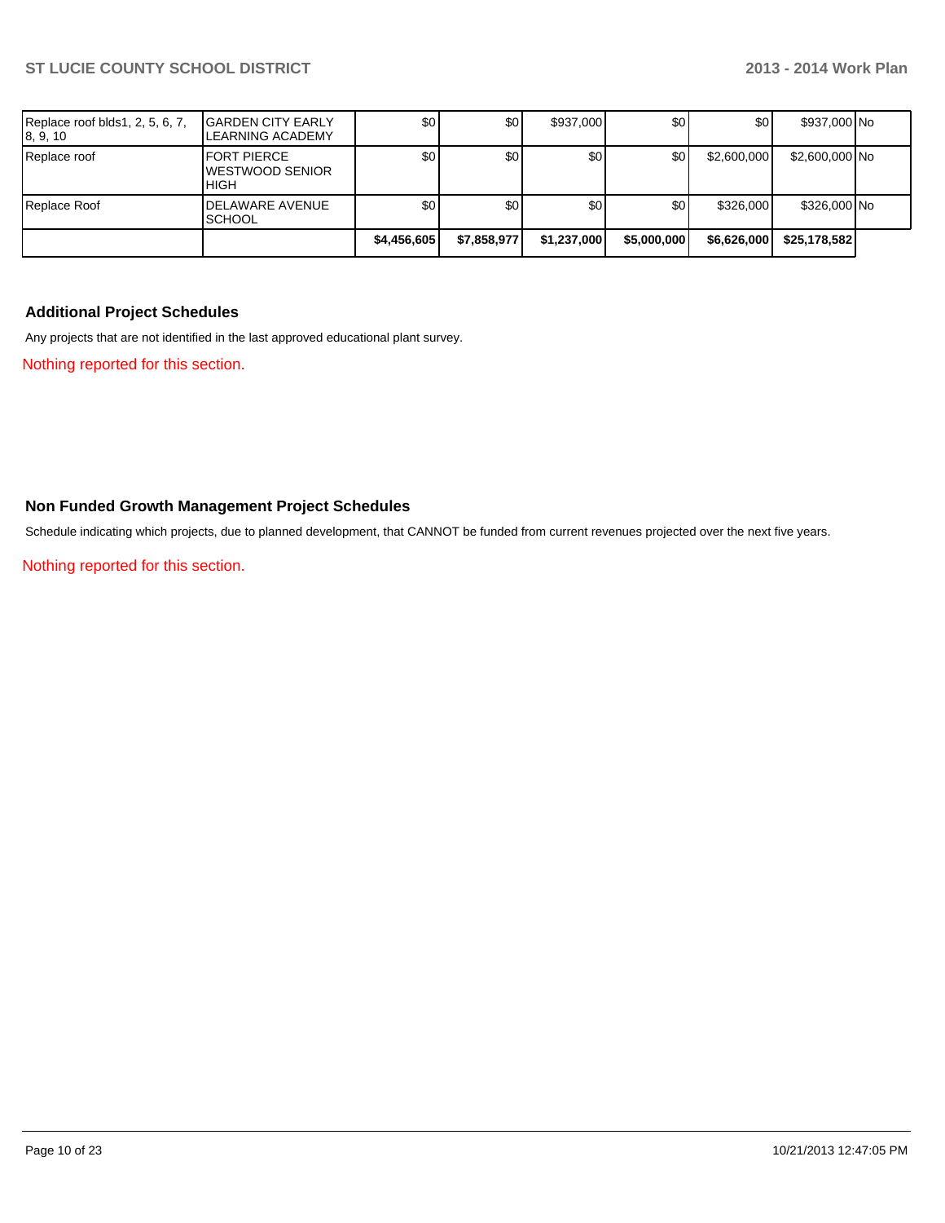|                                             |                                                        | \$4,456,605 | \$7,858,977 | \$1,237,000 | \$5,000,000      | \$6,626,000 | \$25,178,582   |  |
|---------------------------------------------|--------------------------------------------------------|-------------|-------------|-------------|------------------|-------------|----------------|--|
| Replace Roof                                | DELAWARE AVENUE<br><b>SCHOOL</b>                       | \$0         | \$0         | \$0         | \$0 <sub>1</sub> | \$326,000   | \$326,000 No   |  |
| Replace roof                                | IFORT PIERCE<br><b>IWESTWOOD SENIOR</b><br><b>HIGH</b> | \$0         | \$٥١        | \$0         | \$0              | \$2,600,000 | \$2,600,000 No |  |
| Replace roof blds1, 2, 5, 6, 7,<br>8, 9, 10 | <b>IGARDEN CITY EARLY</b><br><b>LEARNING ACADEMY</b>   | \$0         | \$0         | \$937,000   | \$0              | \$0         | \$937,000 No   |  |

## **Additional Project Schedules**

Any projects that are not identified in the last approved educational plant survey.

Nothing reported for this section.

### **Non Funded Growth Management Project Schedules**

Schedule indicating which projects, due to planned development, that CANNOT be funded from current revenues projected over the next five years.

Nothing reported for this section.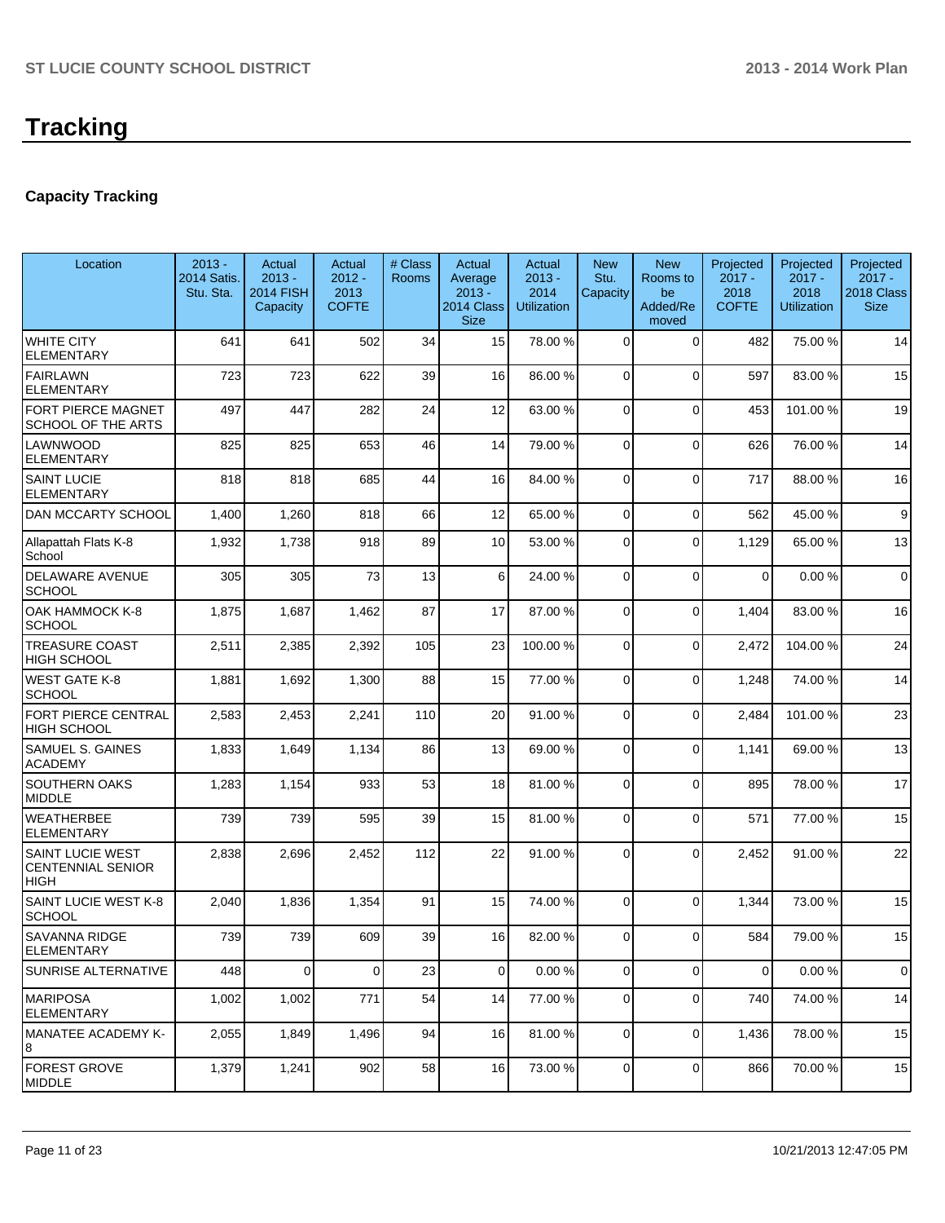# **Capacity Tracking**

| Location                                                           | $2013 -$<br><b>2014 Satis.</b><br>Stu. Sta. | Actual<br>$2013 -$<br><b>2014 FISH</b><br>Capacity | Actual<br>$2012 -$<br>2013<br><b>COFTE</b> | # Class<br><b>Rooms</b> | Actual<br>Average<br>$2013 -$<br>2014 Class<br><b>Size</b> | Actual<br>$2013 -$<br>2014<br><b>Utilization</b> | <b>New</b><br>Stu.<br>Capacity | <b>New</b><br>Rooms to<br>be<br>Added/Re<br>moved | Projected<br>$2017 -$<br>2018<br><b>COFTE</b> | Projected<br>$2017 -$<br>2018<br><b>Utilization</b> | Projected<br>$2017 -$<br>2018 Class<br><b>Size</b> |
|--------------------------------------------------------------------|---------------------------------------------|----------------------------------------------------|--------------------------------------------|-------------------------|------------------------------------------------------------|--------------------------------------------------|--------------------------------|---------------------------------------------------|-----------------------------------------------|-----------------------------------------------------|----------------------------------------------------|
| <b>WHITE CITY</b><br><b>ELEMENTARY</b>                             | 641                                         | 641                                                | 502                                        | 34                      | 15                                                         | 78.00 %                                          | $\Omega$                       | $\Omega$                                          | 482                                           | 75.00 %                                             | 14                                                 |
| <b>FAIRLAWN</b><br><b>ELEMENTARY</b>                               | 723                                         | 723                                                | 622                                        | 39                      | 16                                                         | 86.00 %                                          | $\Omega$                       | $\Omega$                                          | 597                                           | 83.00 %                                             | 15                                                 |
| FORT PIERCE MAGNET<br><b>SCHOOL OF THE ARTS</b>                    | 497                                         | 447                                                | 282                                        | 24                      | 12                                                         | 63.00 %                                          | $\Omega$                       | $\Omega$                                          | 453                                           | 101.00%                                             | 19                                                 |
| LAWNWOOD<br><b>ELEMENTARY</b>                                      | 825                                         | 825                                                | 653                                        | 46                      | 14                                                         | 79.00 %                                          | $\Omega$                       | $\Omega$                                          | 626                                           | 76.00 %                                             | 14                                                 |
| <b>SAINT LUCIE</b><br><b>ELEMENTARY</b>                            | 818                                         | 818                                                | 685                                        | 44                      | 16                                                         | 84.00 %                                          | $\Omega$                       | $\Omega$                                          | 717                                           | 88.00 %                                             | 16                                                 |
| <b>DAN MCCARTY SCHOOL</b>                                          | 1,400                                       | 1,260                                              | 818                                        | 66                      | 12                                                         | 65.00 %                                          | $\Omega$                       | $\Omega$                                          | 562                                           | 45.00 %                                             | 9                                                  |
| Allapattah Flats K-8<br>School                                     | 1,932                                       | 1,738                                              | 918                                        | 89                      | 10                                                         | 53.00 %                                          | $\Omega$                       | $\Omega$                                          | 1,129                                         | 65.00 %                                             | 13                                                 |
| <b>DELAWARE AVENUE</b><br><b>SCHOOL</b>                            | 305                                         | 305                                                | 73                                         | 13                      | 6                                                          | 24.00 %                                          | $\Omega$                       | $\Omega$                                          | $\Omega$                                      | 0.00%                                               | $\mathbf 0$                                        |
| OAK HAMMOCK K-8<br><b>SCHOOL</b>                                   | 1,875                                       | 1,687                                              | 1,462                                      | 87                      | 17                                                         | 87.00 %                                          | $\Omega$                       | $\Omega$                                          | 1,404                                         | 83.00 %                                             | 16                                                 |
| <b>TREASURE COAST</b><br><b>HIGH SCHOOL</b>                        | 2,511                                       | 2,385                                              | 2,392                                      | 105                     | 23                                                         | 100.00 %                                         | $\Omega$                       | $\Omega$                                          | 2,472                                         | 104.00%                                             | 24                                                 |
| <b>WEST GATE K-8</b><br><b>SCHOOL</b>                              | 1,881                                       | 1,692                                              | 1,300                                      | 88                      | 15                                                         | 77.00 %                                          | $\Omega$                       | $\Omega$                                          | 1,248                                         | 74.00 %                                             | 14                                                 |
| <b>FORT PIERCE CENTRAL</b><br><b>HIGH SCHOOL</b>                   | 2,583                                       | 2,453                                              | 2,241                                      | 110                     | 20                                                         | 91.00 %                                          | $\Omega$                       | $\Omega$                                          | 2,484                                         | 101.00%                                             | 23                                                 |
| <b>SAMUEL S. GAINES</b><br><b>ACADEMY</b>                          | 1,833                                       | 1,649                                              | 1,134                                      | 86                      | 13                                                         | 69.00 %                                          | $\mathbf 0$                    | $\Omega$                                          | 1,141                                         | 69.00%                                              | 13                                                 |
| SOUTHERN OAKS<br><b>MIDDLE</b>                                     | 1,283                                       | 1,154                                              | 933                                        | 53                      | 18                                                         | 81.00 %                                          | $\mathbf 0$                    | $\Omega$                                          | 895                                           | 78.00 %                                             | 17                                                 |
| <b>WEATHERBEE</b><br><b>ELEMENTARY</b>                             | 739                                         | 739                                                | 595                                        | 39                      | 15                                                         | 81.00 %                                          | $\Omega$                       | $\Omega$                                          | 571                                           | 77.00 %                                             | 15                                                 |
| <b>SAINT LUCIE WEST</b><br><b>CENTENNIAL SENIOR</b><br><b>HIGH</b> | 2,838                                       | 2,696                                              | 2,452                                      | 112                     | 22                                                         | 91.00 %                                          | $\Omega$                       | $\Omega$                                          | 2,452                                         | 91.00%                                              | 22                                                 |
| <b>SAINT LUCIE WEST K-8</b><br><b>SCHOOL</b>                       | 2,040                                       | 1,836                                              | 1,354                                      | 91                      | 15                                                         | 74.00 %                                          | $\Omega$                       | $\Omega$                                          | 1,344                                         | 73.00 %                                             | 15                                                 |
| <b>SAVANNA RIDGE</b><br><b>ELEMENTARY</b>                          | 739                                         | 739                                                | 609                                        | 39                      | 16                                                         | 82.00 %                                          | $\overline{0}$                 | $\overline{0}$                                    | 584                                           | 79.00 %                                             | 15                                                 |
| <b>SUNRISE ALTERNATIVE</b>                                         | 448                                         | 0                                                  | $\Omega$                                   | 23                      | $\overline{0}$                                             | 0.00%                                            | $\pmb{0}$                      | $\overline{0}$                                    | 0                                             | 0.00%                                               | $\mathbf 0$                                        |
| <b>MARIPOSA</b><br><b>ELEMENTARY</b>                               | 1,002                                       | 1,002                                              | 771                                        | 54                      | 14                                                         | 77.00 %                                          | 0                              | 0                                                 | 740                                           | 74.00%                                              | 14                                                 |
| <b>MANATEE ACADEMY K-</b><br>8                                     | 2,055                                       | 1,849                                              | 1,496                                      | 94                      | 16                                                         | 81.00 %                                          | $\mathbf 0$                    | $\mathbf 0$                                       | 1,436                                         | 78.00 %                                             | 15                                                 |
| <b>FOREST GROVE</b><br><b>MIDDLE</b>                               | 1,379                                       | 1,241                                              | 902                                        | 58                      | 16                                                         | 73.00 %                                          | 0                              | $\overline{0}$                                    | 866                                           | 70.00%                                              | 15                                                 |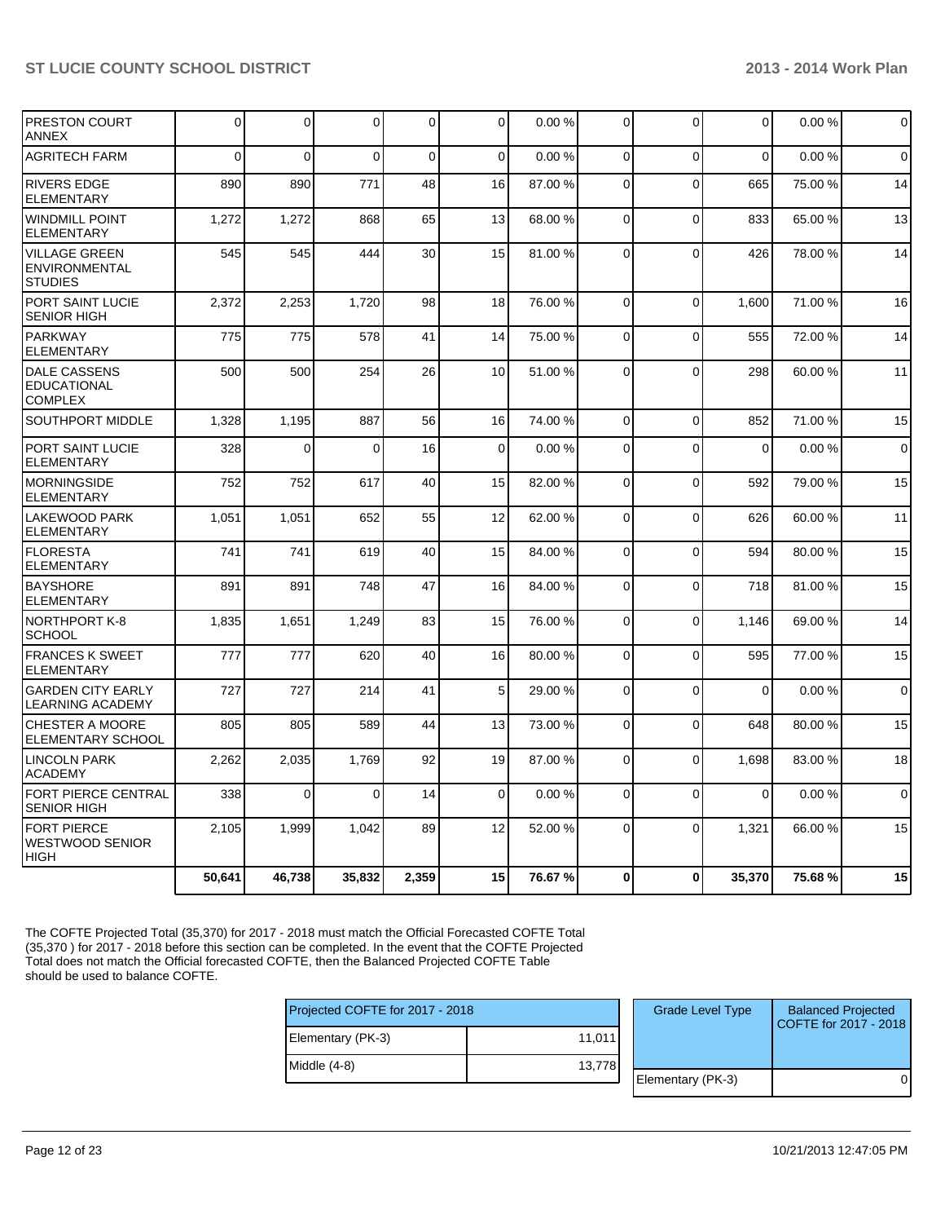|                                                                | 50,641       | 46,738         | 35,832   | 2,359       | 15              | 76.67%  | $\mathbf{0}$   | $\mathbf 0$    | 35,370         | 75.68%  | 15             |
|----------------------------------------------------------------|--------------|----------------|----------|-------------|-----------------|---------|----------------|----------------|----------------|---------|----------------|
| <b>FORT PIERCE</b><br><b>WESTWOOD SENIOR</b><br><b>HIGH</b>    | 2,105        | 1,999          | 1,042    | 89          | 12              | 52.00 % | $\Omega$       | $\Omega$       | 1,321          | 66.00 % | 15             |
| FORT PIERCE CENTRAL<br><b>SENIOR HIGH</b>                      | 338          | $\overline{0}$ | $\Omega$ | 14          | $\Omega$        | 0.00%   | $\Omega$       | $\Omega$       | $\Omega$       | 0.00%   | $\Omega$       |
| <b>LINCOLN PARK</b><br><b>ACADEMY</b>                          | 2,262        | 2,035          | 1,769    | 92          | 19              | 87.00 % | $\Omega$       | $\Omega$       | 1,698          | 83.00 % | 18             |
| <b>CHESTER A MOORE</b><br><b>ELEMENTARY SCHOOL</b>             | 805          | 805            | 589      | 44          | 13              | 73.00 % | $\Omega$       | $\mathbf 0$    | 648            | 80.00%  | 15             |
| <b>GARDEN CITY EARLY</b><br><b>LEARNING ACADEMY</b>            | 727          | 727            | 214      | 41          | 5 <sup>1</sup>  | 29.00 % | $\Omega$       | $\mathbf 0$    | $\mathbf 0$    | 0.00%   | $\overline{0}$ |
| <b>FRANCES K SWEET</b><br><b>ELEMENTARY</b>                    | 777          | 777            | 620      | 40          | 16              | 80.00%  | $\Omega$       | $\Omega$       | 595            | 77.00 % | 15             |
| <b>NORTHPORT K-8</b><br><b>SCHOOL</b>                          | 1,835        | 1,651          | 1,249    | 83          | 15              | 76.00 % | $\Omega$       | $\Omega$       | 1,146          | 69.00%  | 14             |
| <b>BAYSHORE</b><br><b>ELEMENTARY</b>                           | 891          | 891            | 748      | 47          | 16              | 84.00 % | $\overline{0}$ | $\mathbf 0$    | 718            | 81.00%  | 15             |
| <b>FLORESTA</b><br><b>ELEMENTARY</b>                           | 741          | 741            | 619      | 40          | 15              | 84.00 % | $\overline{0}$ | $\Omega$       | 594            | 80.00%  | 15             |
| <b>LAKEWOOD PARK</b><br><b>ELEMENTARY</b>                      | 1,051        | 1,051          | 652      | 55          | 12              | 62.00 % | $\Omega$       | $\overline{0}$ | 626            | 60.00%  | 11             |
| <b>MORNINGSIDE</b><br><b>ELEMENTARY</b>                        | 752          | 752            | 617      | 40          | 15              | 82.00 % | $\overline{0}$ | $\Omega$       | 592            | 79.00 % | 15             |
| PORT SAINT LUCIE<br><b>ELEMENTARY</b>                          | 328          | 0              | $\Omega$ | 16          | $\overline{0}$  | 0.00%   | 0              | $\Omega$       | $\mathbf 0$    | 0.00%   | $\pmb{0}$      |
| SOUTHPORT MIDDLE                                               | 1,328        | 1,195          | 887      | 56          | 16              | 74.00 % | $\Omega$       | $\Omega$       | 852            | 71.00 % | 15             |
| <b>DALE CASSENS</b><br><b>EDUCATIONAL</b><br><b>COMPLEX</b>    | 500          | 500            | 254      | 26          | 10 <sup>1</sup> | 51.00 % | $\Omega$       | $\Omega$       | 298            | 60.00 % | 11             |
| <b>PARKWAY</b><br><b>ELEMENTARY</b>                            | 775          | 775            | 578      | 41          | 14              | 75.00 % | $\Omega$       | $\overline{0}$ | 555            | 72.00 % | 14             |
| PORT SAINT LUCIE<br><b>SENIOR HIGH</b>                         | 2,372        | 2,253          | 1,720    | 98          | 18              | 76.00 % | $\Omega$       | $\Omega$       | 1,600          | 71.00%  | 16             |
| <b>VILLAGE GREEN</b><br><b>ENVIRONMENTAL</b><br><b>STUDIES</b> | 545          | 545            | 444      | 30          | 15              | 81.00 % | $\Omega$       | $\Omega$       | 426            | 78.00 % | 14             |
| <b>WINDMILL POINT</b><br><b>ELEMENTARY</b>                     | 1,272        | 1,272          | 868      | 65          | 13              | 68.00 % | $\mathbf{0}$   | $\Omega$       | 833            | 65.00 % | 13             |
| <b>RIVERS EDGE</b><br><b>ELEMENTARY</b>                        | 890          | 890            | 771      | 48          | 16              | 87.00 % | $\overline{0}$ | $\mathbf 0$    | 665            | 75.00 % | 14             |
| <b>AGRITECH FARM</b>                                           | $\mathbf{0}$ | 0              | $\Omega$ | $\mathbf 0$ | 0               | 0.00%   | 0              | $\mathbf 0$    | $\mathbf 0$    | 0.00%   | $\mathbf{0}$   |
| <b>PRESTON COURT</b><br><b>ANNEX</b>                           | $\mathbf 0$  | 0              | $\Omega$ | 0           | $\Omega$        | 0.00%   | $\Omega$       | $\Omega$       | $\overline{0}$ | 0.00%   | $\overline{0}$ |

The COFTE Projected Total (35,370) for 2017 - 2018 must match the Official Forecasted COFTE Total (35,370 ) for 2017 - 2018 before this section can be completed. In the event that the COFTE Projected Total does not match the Official forecasted COFTE, then the Balanced Projected COFTE Table should be used to balance COFTE.

| Projected COFTE for 2017 - 2018 |        | <b>Grade Level Type</b> | <b>Balanced Projected</b><br>COFTE for 2017 - 2018 |
|---------------------------------|--------|-------------------------|----------------------------------------------------|
| Elementary (PK-3)               | 11,011 |                         |                                                    |
| Middle (4-8)                    | 13.778 |                         |                                                    |
|                                 |        | Elementary (PK-3)       |                                                    |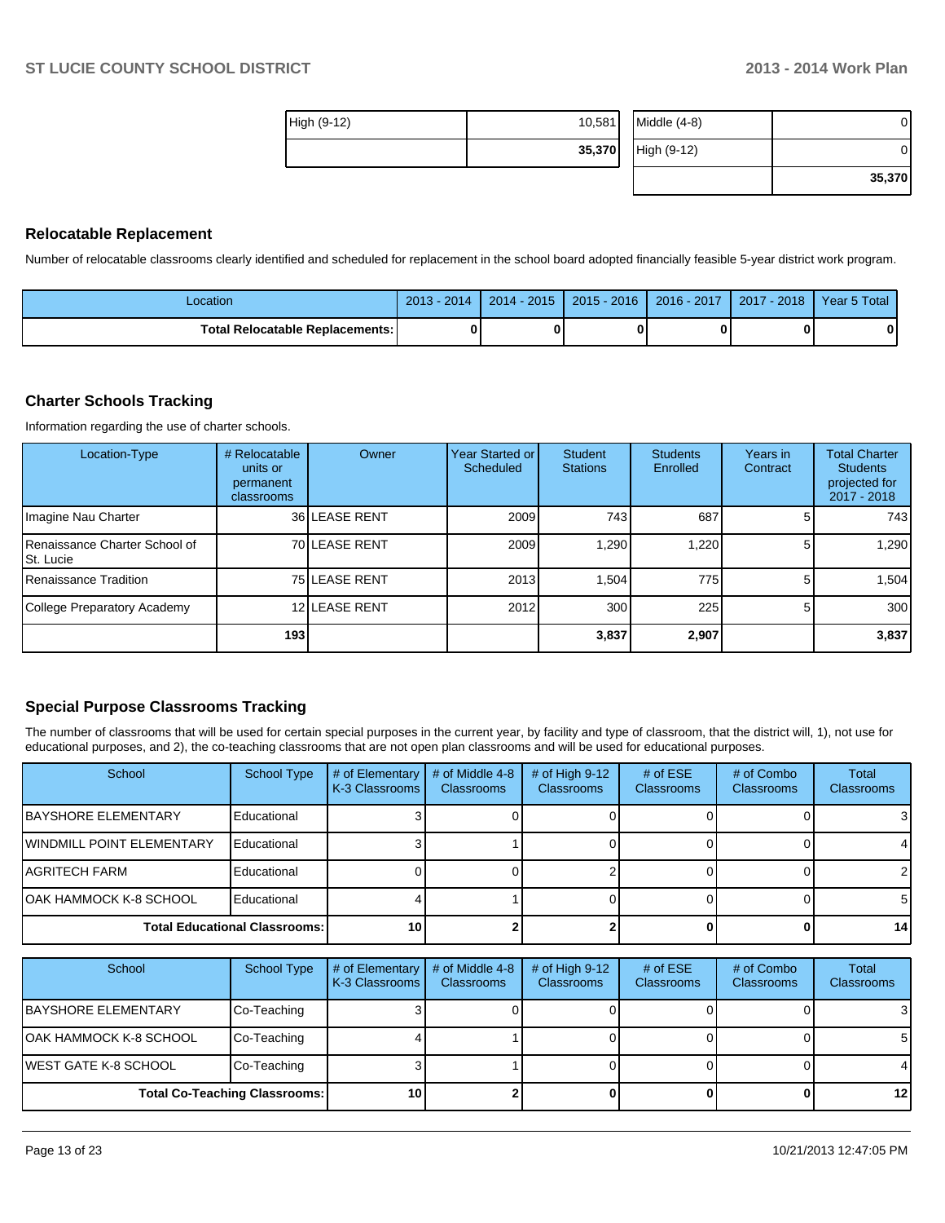| High (9-12) | 10,581 | Middle $(4-8)$ | 01     |
|-------------|--------|----------------|--------|
|             | 35,370 | High (9-12)    | 01     |
|             |        |                | 35,370 |

#### **Relocatable Replacement**

Number of relocatable classrooms clearly identified and scheduled for replacement in the school board adopted financially feasible 5-year district work program.

| ∟ocation                          | 2013<br>2014 | $2014 - 2015$ | $2015 - 2016$ | 2016 - 2017 | $-2018$<br>2017 | Year 5 Total |
|-----------------------------------|--------------|---------------|---------------|-------------|-----------------|--------------|
| Total Relocatable Replacements: I |              |               |               |             |                 |              |

#### **Charter Schools Tracking**

Information regarding the use of charter schools.

| Location-Type                               | # Relocatable<br>units or<br>permanent<br>classrooms | Owner         | Year Started or<br>Scheduled | Student<br><b>Stations</b> | <b>Students</b><br>Enrolled | Years in<br>Contract | <b>Total Charter</b><br><b>Students</b><br>projected for<br>2017 - 2018 |
|---------------------------------------------|------------------------------------------------------|---------------|------------------------------|----------------------------|-----------------------------|----------------------|-------------------------------------------------------------------------|
| Imagine Nau Charter                         |                                                      | 36 LEASE RENT | 2009                         | 743 l                      | 687                         |                      | 743                                                                     |
| Renaissance Charter School of<br>ISt. Lucie |                                                      | 70 LEASE RENT | 2009                         | .290                       | 1,220                       |                      | 1,290                                                                   |
| I Renaissance Tradition                     |                                                      | 75 LEASE RENT | 2013                         | .504                       | 775                         |                      | 1.504                                                                   |
| College Preparatory Academy                 |                                                      | 12 LEASE RENT | 2012                         | 300 <sup>1</sup>           | 225                         |                      | 300                                                                     |
|                                             | 193                                                  |               |                              | 3,837                      | 2,907                       |                      | 3,837                                                                   |

#### **Special Purpose Classrooms Tracking**

The number of classrooms that will be used for certain special purposes in the current year, by facility and type of classroom, that the district will, 1), not use for educational purposes, and 2), the co-teaching classrooms that are not open plan classrooms and will be used for educational purposes.

| School                            | School Type                          | # of Elementary<br>K-3 Classrooms I | # of Middle 4-8<br><b>Classrooms</b> | # of High $9-12$<br><b>Classrooms</b> | # of $ESE$<br><b>Classrooms</b> | # of Combo<br><b>Classrooms</b> | Total<br><b>Classrooms</b> |
|-----------------------------------|--------------------------------------|-------------------------------------|--------------------------------------|---------------------------------------|---------------------------------|---------------------------------|----------------------------|
| <b>IBAYSHORE ELEMENTARY</b>       | Educational                          |                                     |                                      |                                       |                                 |                                 | 3                          |
| <b>IWINDMILL POINT ELEMENTARY</b> | Educational                          |                                     |                                      |                                       |                                 |                                 |                            |
| IAGRITECH FARM                    | Educational                          |                                     |                                      |                                       |                                 |                                 | $\overline{2}$             |
| IOAK HAMMOCK K-8 SCHOOL           | Educational                          |                                     |                                      |                                       |                                 |                                 | 5                          |
|                                   | <b>Total Educational Classrooms:</b> | 10 I                                |                                      |                                       |                                 |                                 | 14                         |

| School                      | School Type                          | # of Elementary<br>K-3 Classrooms | # of Middle 4-8<br><b>Classrooms</b> | # of High $9-12$<br><b>Classrooms</b> | # of $ESE$<br><b>Classrooms</b> | # of Combo<br><b>Classrooms</b> | Total<br><b>Classrooms</b> |
|-----------------------------|--------------------------------------|-----------------------------------|--------------------------------------|---------------------------------------|---------------------------------|---------------------------------|----------------------------|
| <b>IBAYSHORE ELEMENTARY</b> | Co-Teaching                          |                                   |                                      |                                       |                                 |                                 | 3                          |
| OAK HAMMOCK K-8 SCHOOL      | Co-Teaching                          |                                   |                                      |                                       |                                 |                                 | 5                          |
| IWEST GATE K-8 SCHOOL       | Co-Teaching                          |                                   |                                      |                                       |                                 |                                 |                            |
|                             | <b>Total Co-Teaching Classrooms:</b> | 10                                |                                      |                                       |                                 |                                 | 12                         |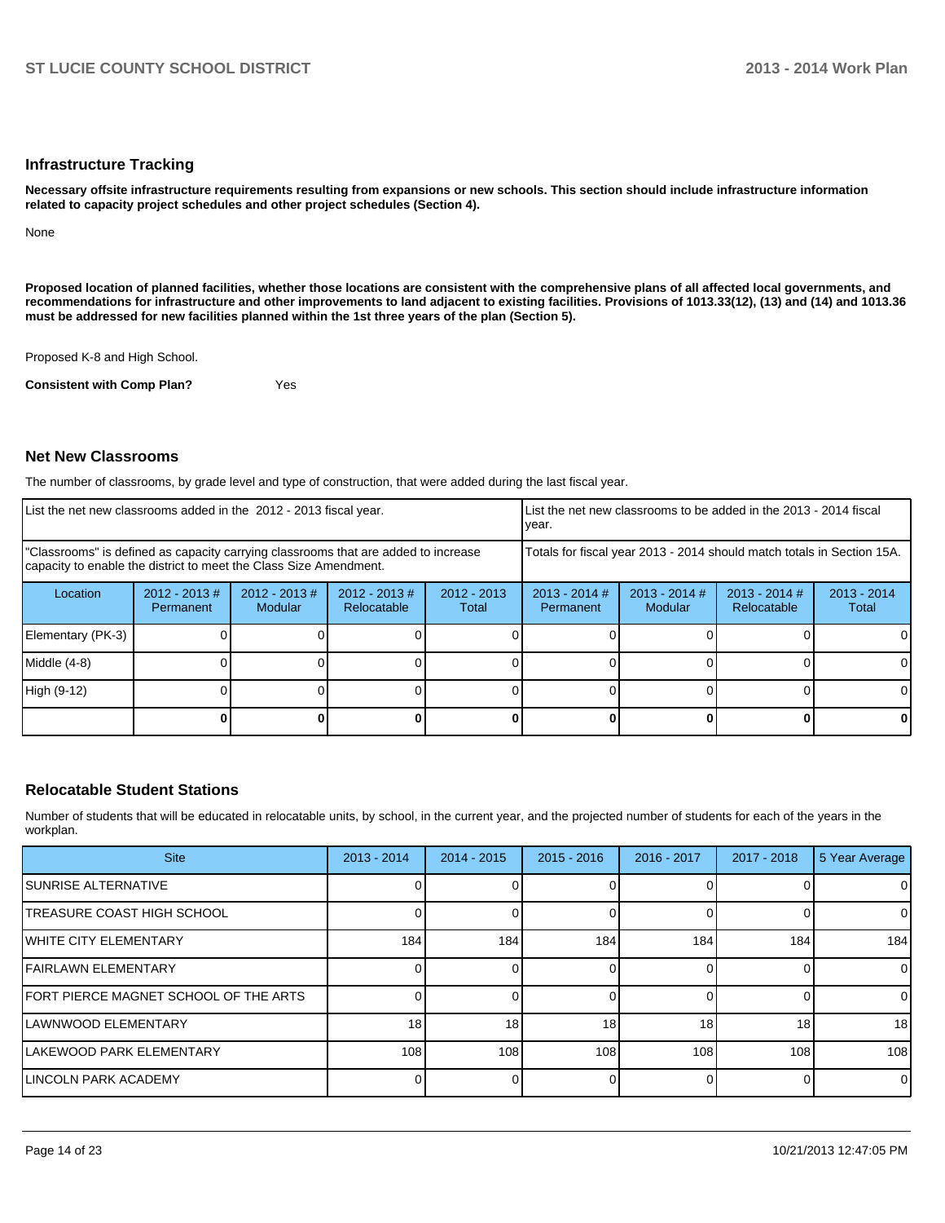#### **Infrastructure Tracking**

**Necessary offsite infrastructure requirements resulting from expansions or new schools. This section should include infrastructure information related to capacity project schedules and other project schedules (Section 4).**

None

**Proposed location of planned facilities, whether those locations are consistent with the comprehensive plans of all affected local governments, and recommendations for infrastructure and other improvements to land adjacent to existing facilities. Provisions of 1013.33(12), (13) and (14) and 1013.36 must be addressed for new facilities planned within the 1st three years of the plan (Section 5).**

Proposed K-8 and High School.

**Consistent with Comp Plan?** Yes

#### **Net New Classrooms**

The number of classrooms, by grade level and type of construction, that were added during the last fiscal year.

| List the net new classrooms added in the 2012 - 2013 fiscal year.                                                                                       |                               |                                   |                                |                        | Ivear.                                                                 |                            | List the net new classrooms to be added in the 2013 - 2014 fiscal |                        |
|---------------------------------------------------------------------------------------------------------------------------------------------------------|-------------------------------|-----------------------------------|--------------------------------|------------------------|------------------------------------------------------------------------|----------------------------|-------------------------------------------------------------------|------------------------|
| "Classrooms" is defined as capacity carrying classrooms that are added to increase<br>capacity to enable the district to meet the Class Size Amendment. |                               |                                   |                                |                        | Totals for fiscal year 2013 - 2014 should match totals in Section 15A. |                            |                                                                   |                        |
| Location                                                                                                                                                | $2012 - 2013 \#$<br>Permanent | $2012 - 2013$ #<br><b>Modular</b> | $2012 - 2013$ #<br>Relocatable | $2012 - 2013$<br>Total | $2013 - 2014$ #<br>Permanent                                           | $2013 - 2014$ #<br>Modular | $2013 - 2014$ #<br>Relocatable                                    | $2013 - 2014$<br>Total |
| Elementary (PK-3)                                                                                                                                       |                               |                                   |                                |                        |                                                                        |                            |                                                                   |                        |
| Middle (4-8)                                                                                                                                            |                               |                                   |                                |                        |                                                                        |                            |                                                                   |                        |
| High (9-12)                                                                                                                                             |                               |                                   |                                |                        |                                                                        |                            |                                                                   |                        |
|                                                                                                                                                         |                               |                                   |                                |                        |                                                                        |                            |                                                                   |                        |

#### **Relocatable Student Stations**

Number of students that will be educated in relocatable units, by school, in the current year, and the projected number of students for each of the years in the workplan.

| <b>Site</b>                           | $2013 - 2014$    | $2014 - 2015$ | $2015 - 2016$ | $2016 - 2017$ | $2017 - 2018$ | 5 Year Average |
|---------------------------------------|------------------|---------------|---------------|---------------|---------------|----------------|
| ISUNRISE ALTERNATIVE                  |                  |               |               |               |               | 0              |
| ITREASURE COAST HIGH SCHOOL           |                  |               |               |               |               | 0              |
| <b>IWHITE CITY ELEMENTARY</b>         | 184              | 184           | 184           | 184           | 184           | 184            |
| <b>IFAIRLAWN ELEMENTARY</b>           |                  |               |               |               |               | 0              |
| FORT PIERCE MAGNET SCHOOL OF THE ARTS |                  |               |               |               |               | $\mathbf 0$    |
| ILAWNWOOD ELEMENTARY                  | 18 <sup>1</sup>  | 18            | 18            | 18            | 18            | 18             |
| ILAKEWOOD PARK ELEMENTARY             | 108 <sup>l</sup> | 108           | 108           | 108           | 108           | 108            |
| ILINCOLN PARK ACADEMY                 |                  |               |               |               |               | $\mathbf 0$    |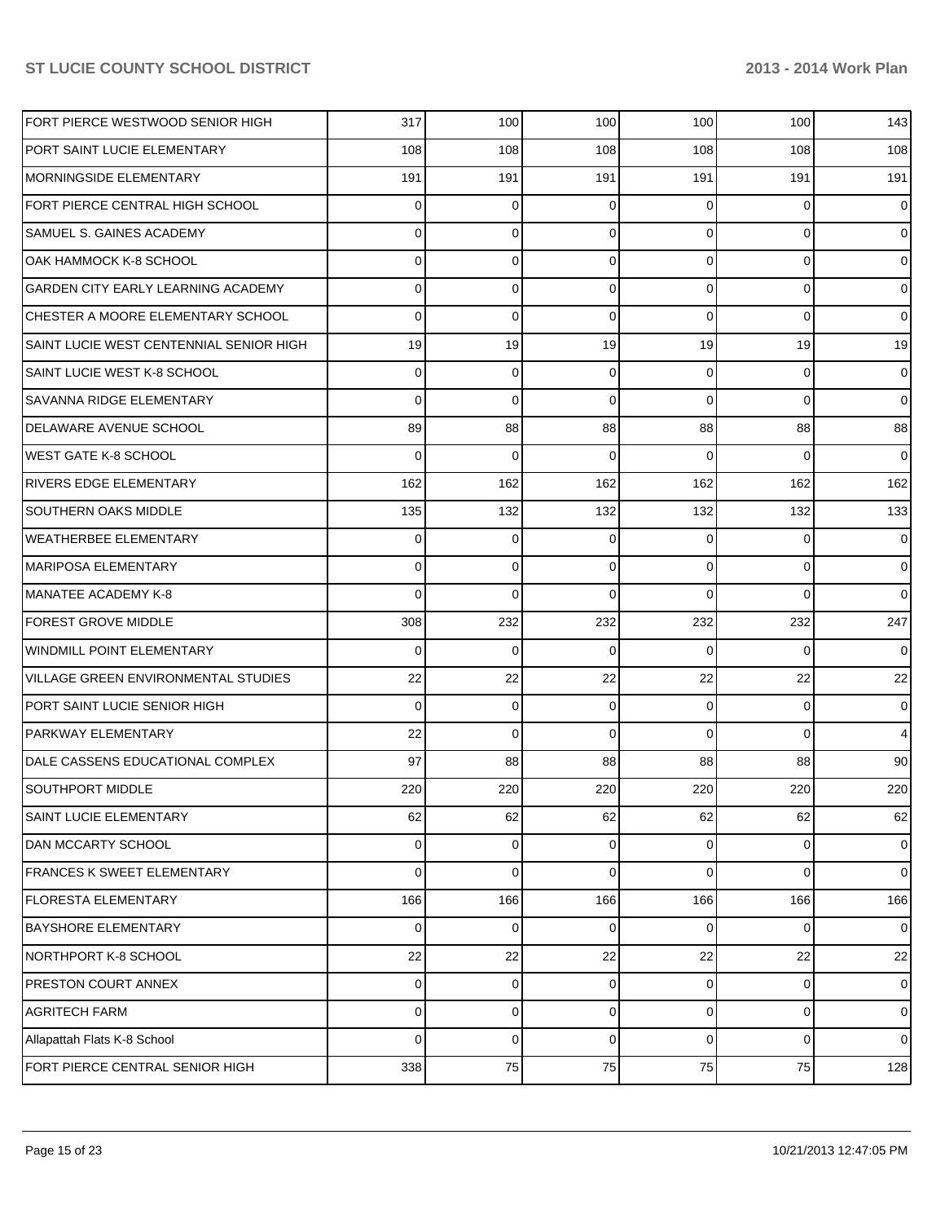| FORT PIERCE WESTWOOD SENIOR HIGH           | 317      | 100         | 100         | 100      | 100            | 143             |
|--------------------------------------------|----------|-------------|-------------|----------|----------------|-----------------|
| PORT SAINT LUCIE ELEMENTARY                | 108      | 108         | 108         | 108      | 108            | 108             |
| MORNINGSIDE ELEMENTARY                     | 191      | 191         | 191         | 191      | 191            | 191             |
| FORT PIERCE CENTRAL HIGH SCHOOL            | 0        | $\Omega$    | 0           | $\Omega$ | $\Omega$       | $\overline{0}$  |
| <b>SAMUEL S. GAINES ACADEMY</b>            | $\Omega$ | $\Omega$    | $\Omega$    | $\Omega$ | $\Omega$       | $\overline{0}$  |
| OAK HAMMOCK K-8 SCHOOL                     | $\Omega$ | $\Omega$    | $\Omega$    | $\Omega$ | $\Omega$       | $\overline{0}$  |
| <b>GARDEN CITY EARLY LEARNING ACADEMY</b>  | $\Omega$ | $\Omega$    | $\Omega$    | $\Omega$ | $\Omega$       | $\overline{0}$  |
| CHESTER A MOORE ELEMENTARY SCHOOL          | $\Omega$ | $\Omega$    | $\Omega$    | $\Omega$ | $\Omega$       | $\overline{0}$  |
| SAINT LUCIE WEST CENTENNIAL SENIOR HIGH    | 19       | 19          | 19          | 19       | 19             | 19              |
| SAINT LUCIE WEST K-8 SCHOOL                | $\Omega$ | 0           | $\Omega$    | $\Omega$ | $\Omega$       | $\overline{0}$  |
| <b>SAVANNA RIDGE ELEMENTARY</b>            | $\Omega$ | $\Omega$    | $\Omega$    | $\Omega$ | $\Omega$       | $\overline{0}$  |
| DELAWARE AVENUE SCHOOL                     | 89       | 88          | 88          | 88       | 88             | 88              |
| WEST GATE K-8 SCHOOL                       | $\Omega$ | $\Omega$    | 0           | $\Omega$ | $\Omega$       | $\overline{0}$  |
| <b>RIVERS EDGE ELEMENTARY</b>              | 162      | 162         | 162         | 162      | 162            | 162             |
| <b>SOUTHERN OAKS MIDDLE</b>                | 135      | 132         | 132         | 132      | 132            | 133             |
| WEATHERBEE ELEMENTARY                      | $\Omega$ | 0           | 0           | $\Omega$ | $\Omega$       | $\overline{0}$  |
| MARIPOSA ELEMENTARY                        | $\Omega$ | $\Omega$    | $\Omega$    | $\Omega$ | $\Omega$       | $\Omega$        |
| MANATEE ACADEMY K-8                        | $\Omega$ | $\Omega$    | $\Omega$    | $\Omega$ | $\Omega$       | $\Omega$        |
| <b>FOREST GROVE MIDDLE</b>                 | 308      | 232         | 232         | 232      | 232            | 247             |
| WINDMILL POINT ELEMENTARY                  | $\Omega$ | $\Omega$    | $\Omega$    | $\Omega$ | $\Omega$       | $\overline{0}$  |
| <b>VILLAGE GREEN ENVIRONMENTAL STUDIES</b> | 22       | 22          | 22          | 22       | 22             | 22              |
| PORT SAINT LUCIE SENIOR HIGH               | $\Omega$ | 0           | $\Omega$    | $\Omega$ | $\Omega$       | $\overline{0}$  |
| <b>PARKWAY ELEMENTARY</b>                  | 22       | $\Omega$    | $\Omega$    | $\Omega$ | $\Omega$       | $\overline{4}$  |
| DALE CASSENS EDUCATIONAL COMPLEX           | 97       | 88          | 88          | 88       | 88             | 90 <sub>1</sub> |
| <b>SOUTHPORT MIDDLE</b>                    | 220      | 220         | 220         | 220      | 220            | 220             |
| SAINT LUCIE ELEMENTARY                     | 62       | 62          | 62          | 62       | 62             | 62              |
| <b>DAN MCCARTY SCHOOL</b>                  | $\Omega$ | 0           | $\Omega$    | $\Omega$ | $\overline{0}$ | $\overline{0}$  |
| <b>FRANCES K SWEET ELEMENTARY</b>          | $\Omega$ | $\Omega$    | $\Omega$    | $\Omega$ | $\Omega$       | $\overline{0}$  |
| <b>FLORESTA ELEMENTARY</b>                 | 166      | 166         | 166         | 166      | 166            | 166             |
| <b>BAYSHORE ELEMENTARY</b>                 | $\Omega$ | 0           | $\mathbf 0$ | $\Omega$ | 0              | $\overline{0}$  |
| NORTHPORT K-8 SCHOOL                       | 22       | 22          | 22          | 22       | 22             | 22              |
| <b>PRESTON COURT ANNEX</b>                 | $\Omega$ | $\mathbf 0$ | 0           | $\Omega$ | $\mathbf 0$    | $\overline{0}$  |
| <b>AGRITECH FARM</b>                       | $\Omega$ | 0           | $\Omega$    | $\Omega$ | $\overline{0}$ | $\overline{0}$  |
| Allapattah Flats K-8 School                | $\Omega$ | 0           | 0           | $\Omega$ | 0              | $\overline{0}$  |
| FORT PIERCE CENTRAL SENIOR HIGH            | 338      | 75          | 75          | 75       | 75             | 128             |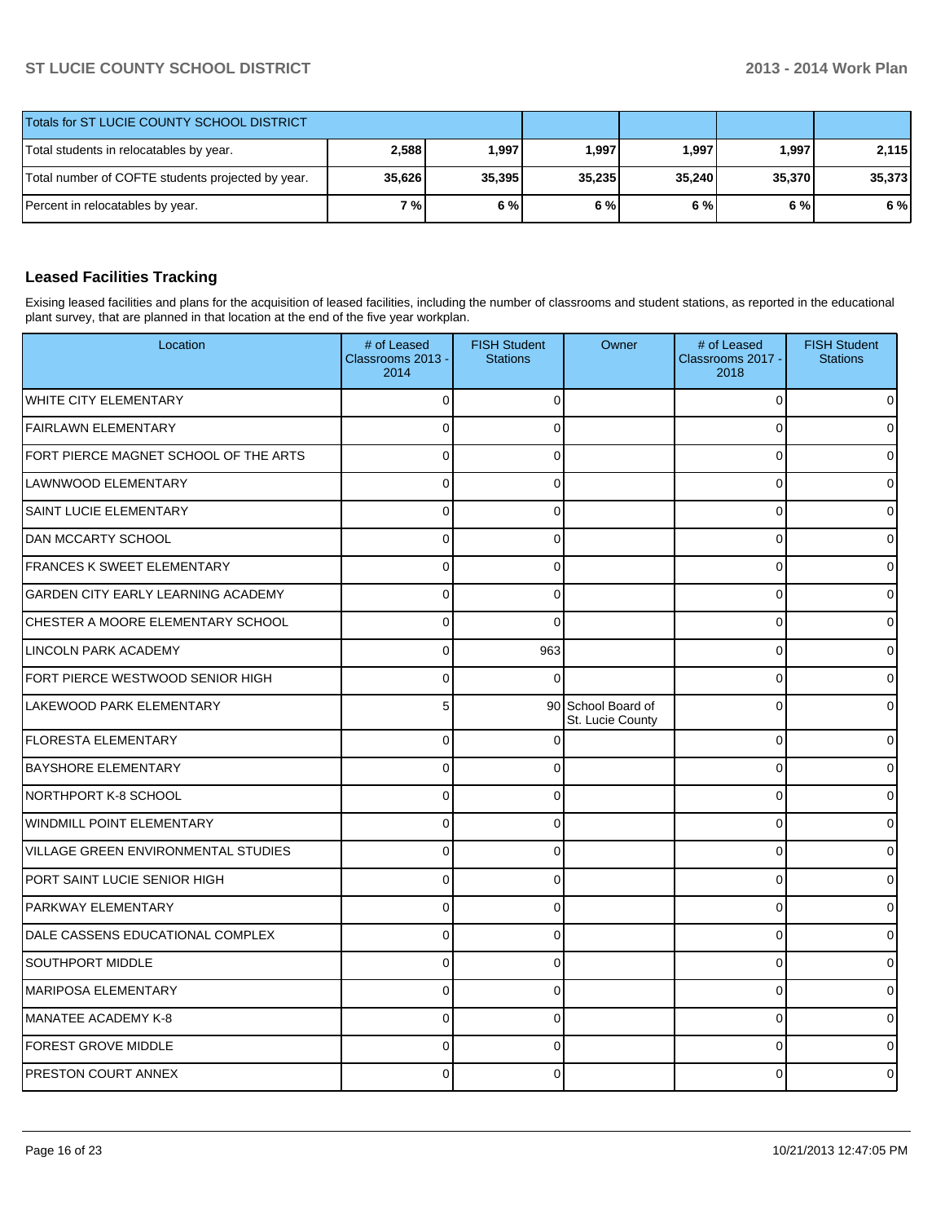| Totals for ST LUCIE COUNTY SCHOOL DISTRICT        |        |        |        |        |         |        |
|---------------------------------------------------|--------|--------|--------|--------|---------|--------|
| Total students in relocatables by year.           | 2,588  | 1,997  | 1,997  | 1,997  | 1.997 l | 2.115  |
| Total number of COFTE students projected by year. | 35,626 | 35,395 | 35,235 | 35.240 | 35,370  | 35.373 |
| Percent in relocatables by year.                  | 7 % l  | 6%     | 6%     | 6 % l  | 6 % l   | 6 %    |

# **Leased Facilities Tracking**

Exising leased facilities and plans for the acquisition of leased facilities, including the number of classrooms and student stations, as reported in the educational plant survey, that are planned in that location at the end of the five year workplan.

| Location                              | # of Leased<br>Classrooms 2013 -<br>2014 | <b>FISH Student</b><br><b>Stations</b> | Owner                                  | # of Leased<br>Classrooms 2017 -<br>2018 | <b>FISH Student</b><br><b>Stations</b> |
|---------------------------------------|------------------------------------------|----------------------------------------|----------------------------------------|------------------------------------------|----------------------------------------|
| WHITE CITY ELEMENTARY                 | $\Omega$                                 | $\Omega$                               |                                        | $\mathbf 0$                              |                                        |
| <b>FAIRLAWN ELEMENTARY</b>            | $\Omega$                                 | $\Omega$                               |                                        | $\Omega$                                 |                                        |
| FORT PIERCE MAGNET SCHOOL OF THE ARTS | $\Omega$                                 | $\Omega$                               |                                        | $\mathbf 0$                              |                                        |
| LAWNWOOD ELEMENTARY                   | 0                                        | 0                                      |                                        | $\mathbf 0$                              |                                        |
| SAINT LUCIE ELEMENTARY                | $\overline{0}$                           | $\overline{0}$                         |                                        | $\mathbf 0$                              |                                        |
| <b>DAN MCCARTY SCHOOL</b>             | 0                                        | $\mathbf 0$                            |                                        | $\mathbf 0$                              |                                        |
| <b>FRANCES K SWEET ELEMENTARY</b>     | $\overline{0}$                           | 0                                      |                                        | $\mathbf 0$                              |                                        |
| GARDEN CITY EARLY LEARNING ACADEMY    | 0                                        | 0                                      |                                        | $\mathbf 0$                              |                                        |
| CHESTER A MOORE ELEMENTARY SCHOOL     | $\overline{0}$                           | $\Omega$                               |                                        | $\mathbf 0$                              |                                        |
| <b>LINCOLN PARK ACADEMY</b>           | $\Omega$                                 | 963                                    |                                        | 0                                        |                                        |
| FORT PIERCE WESTWOOD SENIOR HIGH      | $\Omega$                                 | $\Omega$                               |                                        | $\mathbf 0$                              |                                        |
| LAKEWOOD PARK ELEMENTARY              | 5                                        |                                        | 90 School Board of<br>St. Lucie County | $\mathbf 0$                              |                                        |
| <b>FLORESTA ELEMENTARY</b>            | $\overline{0}$                           | 0                                      |                                        | $\mathbf 0$                              |                                        |
| <b>BAYSHORE ELEMENTARY</b>            | $\Omega$                                 | $\Omega$                               |                                        | $\Omega$                                 |                                        |
| NORTHPORT K-8 SCHOOL                  | $\overline{0}$                           | $\Omega$                               |                                        | $\Omega$                                 |                                        |
| WINDMILL POINT ELEMENTARY             | $\Omega$                                 | $\Omega$                               |                                        | $\Omega$                                 |                                        |
| VILLAGE GREEN ENVIRONMENTAL STUDIES   | $\Omega$                                 | $\Omega$                               |                                        | $\mathbf 0$                              |                                        |
| PORT SAINT LUCIE SENIOR HIGH          | $\Omega$                                 | $\overline{0}$                         |                                        | $\Omega$                                 |                                        |
| <b>PARKWAY ELEMENTARY</b>             | $\Omega$                                 | $\Omega$                               |                                        | $\mathbf 0$                              |                                        |
| DALE CASSENS EDUCATIONAL COMPLEX      | $\Omega$                                 | $\Omega$                               |                                        | $\mathbf 0$                              |                                        |
| SOUTHPORT MIDDLE                      | $\overline{0}$                           | $\Omega$                               |                                        | $\mathbf 0$                              |                                        |
| <b>MARIPOSA ELEMENTARY</b>            | $\overline{0}$                           | $\overline{0}$                         |                                        | $\Omega$                                 |                                        |
| MANATEE ACADEMY K-8                   | $\overline{0}$                           | $\Omega$                               |                                        | $\mathbf 0$                              |                                        |
| <b>FOREST GROVE MIDDLE</b>            | $\overline{0}$                           | $\Omega$                               |                                        | $\Omega$                                 |                                        |
| PRESTON COURT ANNEX                   |                                          | U                                      |                                        | ŋ                                        |                                        |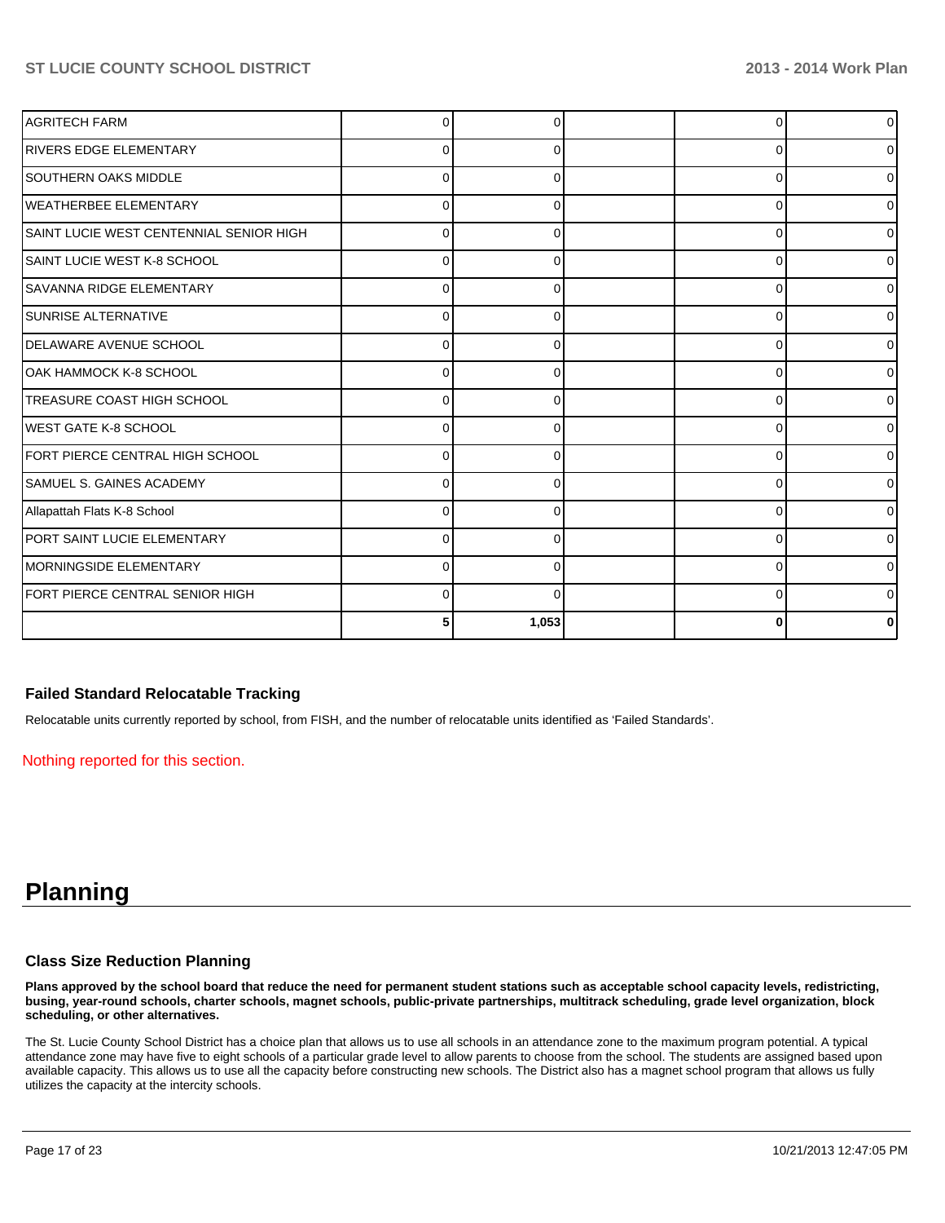| <b>AGRITECH FARM</b>                    |          |       |   | 0              |
|-----------------------------------------|----------|-------|---|----------------|
| <b>RIVERS EDGE ELEMENTARY</b>           |          |       |   | 01             |
| <b>ISOUTHERN OAKS MIDDLE</b>            |          |       |   | 0              |
| <b>WEATHERBEE ELEMENTARY</b>            | ŋ        |       | C | $\overline{0}$ |
| SAINT LUCIE WEST CENTENNIAL SENIOR HIGH | 0        |       | C | $\overline{0}$ |
| SAINT LUCIE WEST K-8 SCHOOL             | U        |       | C | $\overline{0}$ |
| ISAVANNA RIDGE ELEMENTARY               |          |       | C | $\overline{0}$ |
| <b>SUNRISE ALTERNATIVE</b>              | ŋ        |       | C | $\overline{0}$ |
| DELAWARE AVENUE SCHOOL                  | ŋ        |       | C | 0              |
| OAK HAMMOCK K-8 SCHOOL                  | 0        |       |   | 0              |
| <b>TREASURE COAST HIGH SCHOOL</b>       | U        |       |   | $\Omega$       |
| <b>IWEST GATE K-8 SCHOOL</b>            | 0        |       |   | $\Omega$       |
| FORT PIERCE CENTRAL HIGH SCHOOL         | ŋ        |       |   | 0              |
| SAMUEL S. GAINES ACADEMY                |          |       |   | 0              |
| Allapattah Flats K-8 School             |          |       |   | 0              |
| PORT SAINT LUCIE ELEMENTARY             | O        |       | ∩ | ΩI             |
| MORNINGSIDE ELEMENTARY                  | $\Omega$ |       | C | ΩI             |
| FORT PIERCE CENTRAL SENIOR HIGH         | $\Omega$ |       | ∩ | ΩI             |
|                                         |          | 1,053 |   | 0              |

#### **Failed Standard Relocatable Tracking**

Relocatable units currently reported by school, from FISH, and the number of relocatable units identified as 'Failed Standards'.

Nothing reported for this section.

# **Planning**

#### **Class Size Reduction Planning**

**Plans approved by the school board that reduce the need for permanent student stations such as acceptable school capacity levels, redistricting, busing, year-round schools, charter schools, magnet schools, public-private partnerships, multitrack scheduling, grade level organization, block scheduling, or other alternatives.**

The St. Lucie County School District has a choice plan that allows us to use all schools in an attendance zone to the maximum program potential. A typical attendance zone may have five to eight schools of a particular grade level to allow parents to choose from the school. The students are assigned based upon available capacity. This allows us to use all the capacity before constructing new schools. The District also has a magnet school program that allows us fully utilizes the capacity at the intercity schools.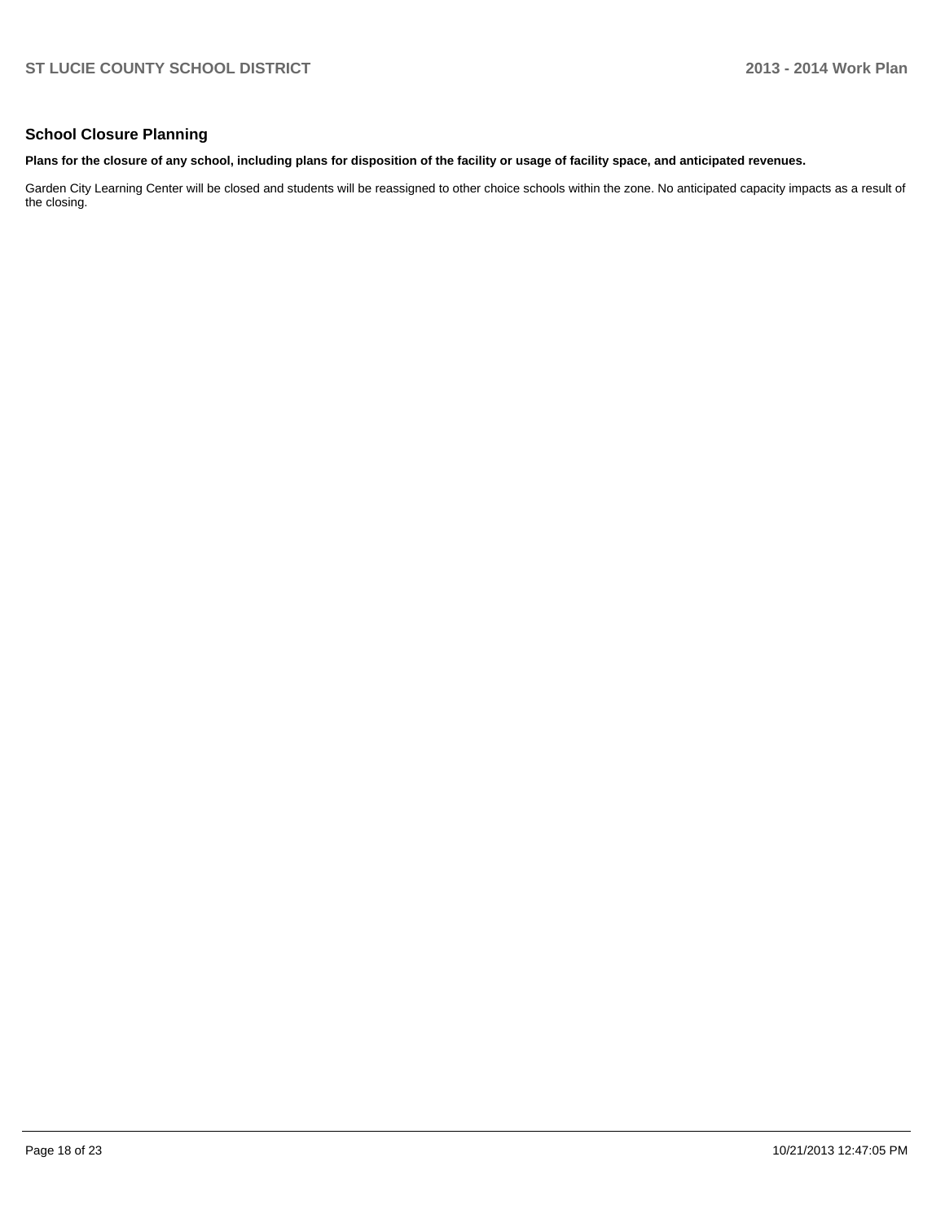#### **School Closure Planning**

**Plans for the closure of any school, including plans for disposition of the facility or usage of facility space, and anticipated revenues.**

Garden City Learning Center will be closed and students will be reassigned to other choice schools within the zone. No anticipated capacity impacts as a result of the closing.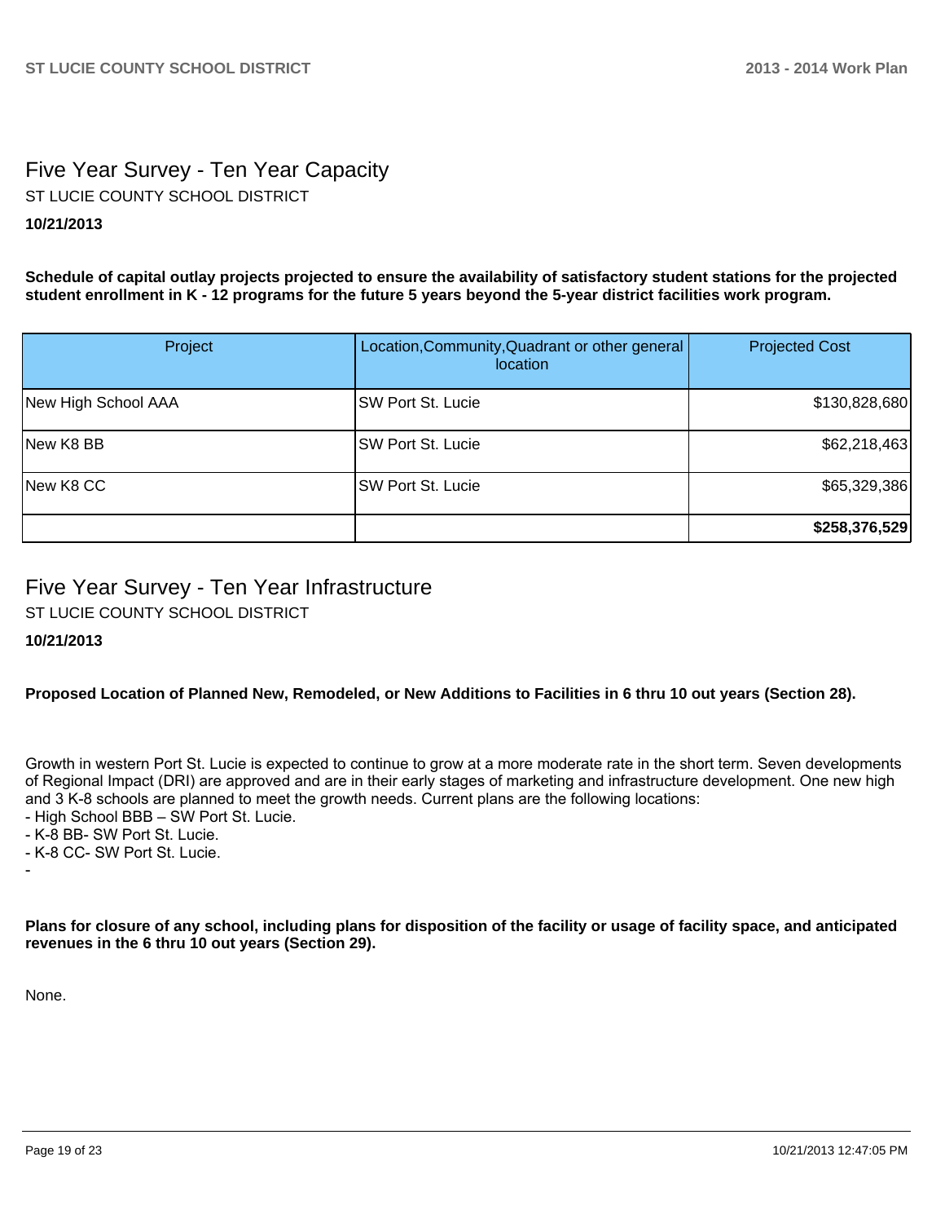# Five Year Survey - Ten Year Capacity ST LUCIE COUNTY SCHOOL DISTRICT

### **10/21/2013**

**Schedule of capital outlay projects projected to ensure the availability of satisfactory student stations for the projected student enrollment in K - 12 programs for the future 5 years beyond the 5-year district facilities work program.**

| Project             | Location, Community, Quadrant or other general<br>location | <b>Projected Cost</b> |
|---------------------|------------------------------------------------------------|-----------------------|
| New High School AAA | SW Port St. Lucie                                          | \$130,828,680         |
| New K8 BB           | <b>SW Port St. Lucie</b>                                   | \$62,218,463          |
| New K8 CC           | SW Port St. Lucie                                          | \$65,329,386          |
|                     |                                                            | \$258,376,529         |

# Five Year Survey - Ten Year Infrastructure

ST LUCIE COUNTY SCHOOL DISTRICT

## **10/21/2013**

**Proposed Location of Planned New, Remodeled, or New Additions to Facilities in 6 thru 10 out years (Section 28).**

Growth in western Port St. Lucie is expected to continue to grow at a more moderate rate in the short term. Seven developments of Regional Impact (DRI) are approved and are in their early stages of marketing and infrastructure development. One new high and 3 K-8 schools are planned to meet the growth needs. Current plans are the following locations:

- High School BBB SW Port St. Lucie.
- K-8 BB- SW Port St. Lucie.
- K-8 CC- SW Port St. Lucie.

**Plans for closure of any school, including plans for disposition of the facility or usage of facility space, and anticipated revenues in the 6 thru 10 out years (Section 29).**

None.

-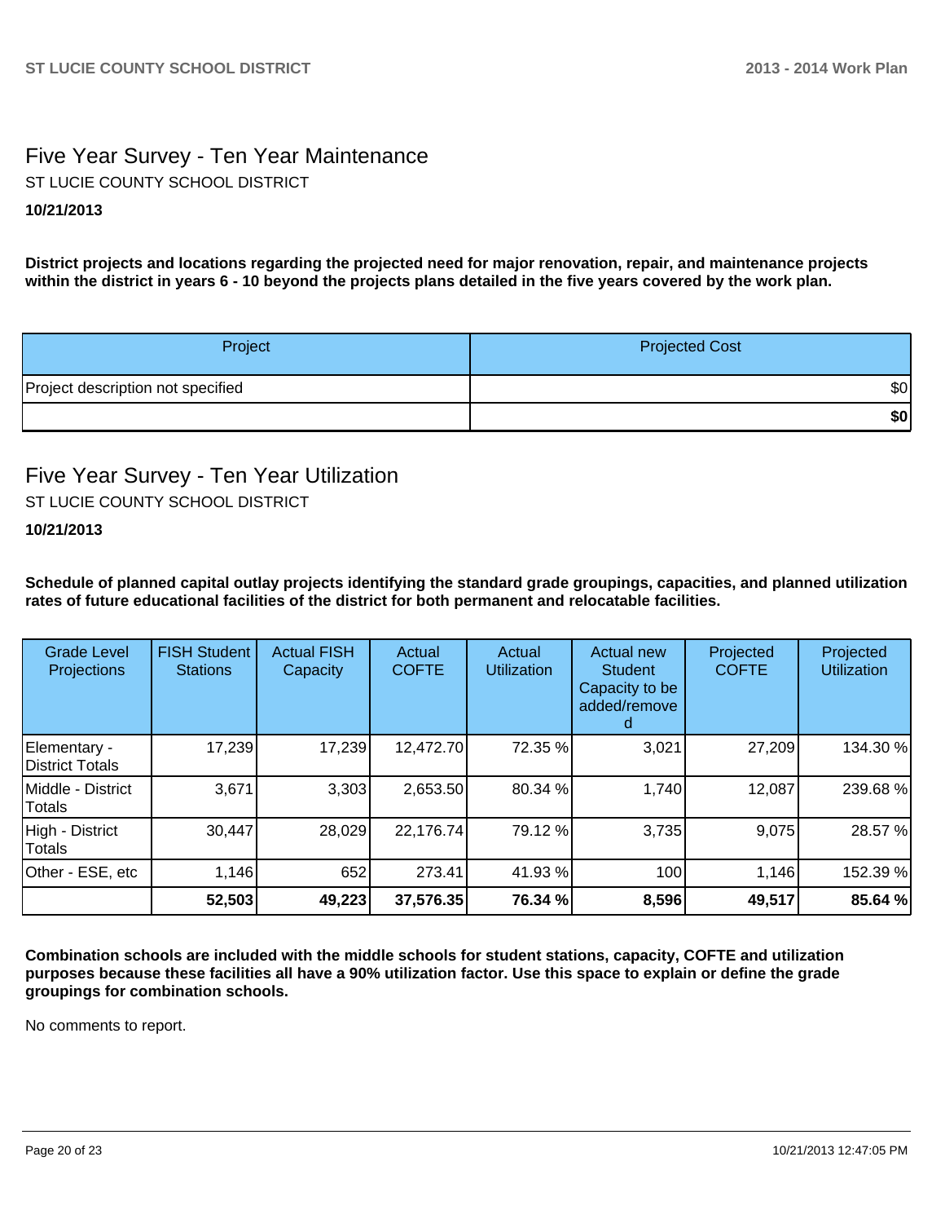# Five Year Survey - Ten Year Maintenance **10/21/2013** ST LUCIE COUNTY SCHOOL DISTRICT

**District projects and locations regarding the projected need for major renovation, repair, and maintenance projects within the district in years 6 - 10 beyond the projects plans detailed in the five years covered by the work plan.**

| Project                           | <b>Projected Cost</b> |
|-----------------------------------|-----------------------|
| Project description not specified | \$0                   |
|                                   | \$0                   |

# Five Year Survey - Ten Year Utilization ST LUCIE COUNTY SCHOOL DISTRICT

## **10/21/2013**

**Schedule of planned capital outlay projects identifying the standard grade groupings, capacities, and planned utilization rates of future educational facilities of the district for both permanent and relocatable facilities.**

| <b>Grade Level</b><br>Projections | <b>FISH Student</b><br><b>Stations</b> | <b>Actual FISH</b><br>Capacity | Actual<br><b>COFTE</b> | Actual<br><b>Utilization</b> | Actual new<br><b>Student</b><br>Capacity to be<br>added/remove | Projected<br><b>COFTE</b> | Projected<br><b>Utilization</b> |
|-----------------------------------|----------------------------------------|--------------------------------|------------------------|------------------------------|----------------------------------------------------------------|---------------------------|---------------------------------|
| Elementary -<br>District Totals   | 17,239                                 | 17,239                         | 12,472.70              | 72.35 %                      | 3,021                                                          | 27,209                    | 134.30 %                        |
| Middle - District<br>Totals       | 3,671                                  | 3,303                          | 2,653.50               | 80.34 %                      | 1,740                                                          | 12,087                    | 239.68%                         |
| High - District<br>Totals         | 30,447                                 | 28,029                         | 22,176.74              | 79.12 %                      | 3,735                                                          | 9,075                     | 28.57 %                         |
| Other - ESE, etc                  | 1,146                                  | 652                            | 273.41                 | 41.93 %                      | 100                                                            | 1,146                     | 152.39 %                        |
|                                   | 52,503                                 | 49,223                         | 37,576.35              | 76.34 %                      | 8,596                                                          | 49,517                    | 85.64 %                         |

**Combination schools are included with the middle schools for student stations, capacity, COFTE and utilization purposes because these facilities all have a 90% utilization factor. Use this space to explain or define the grade groupings for combination schools.**

No comments to report.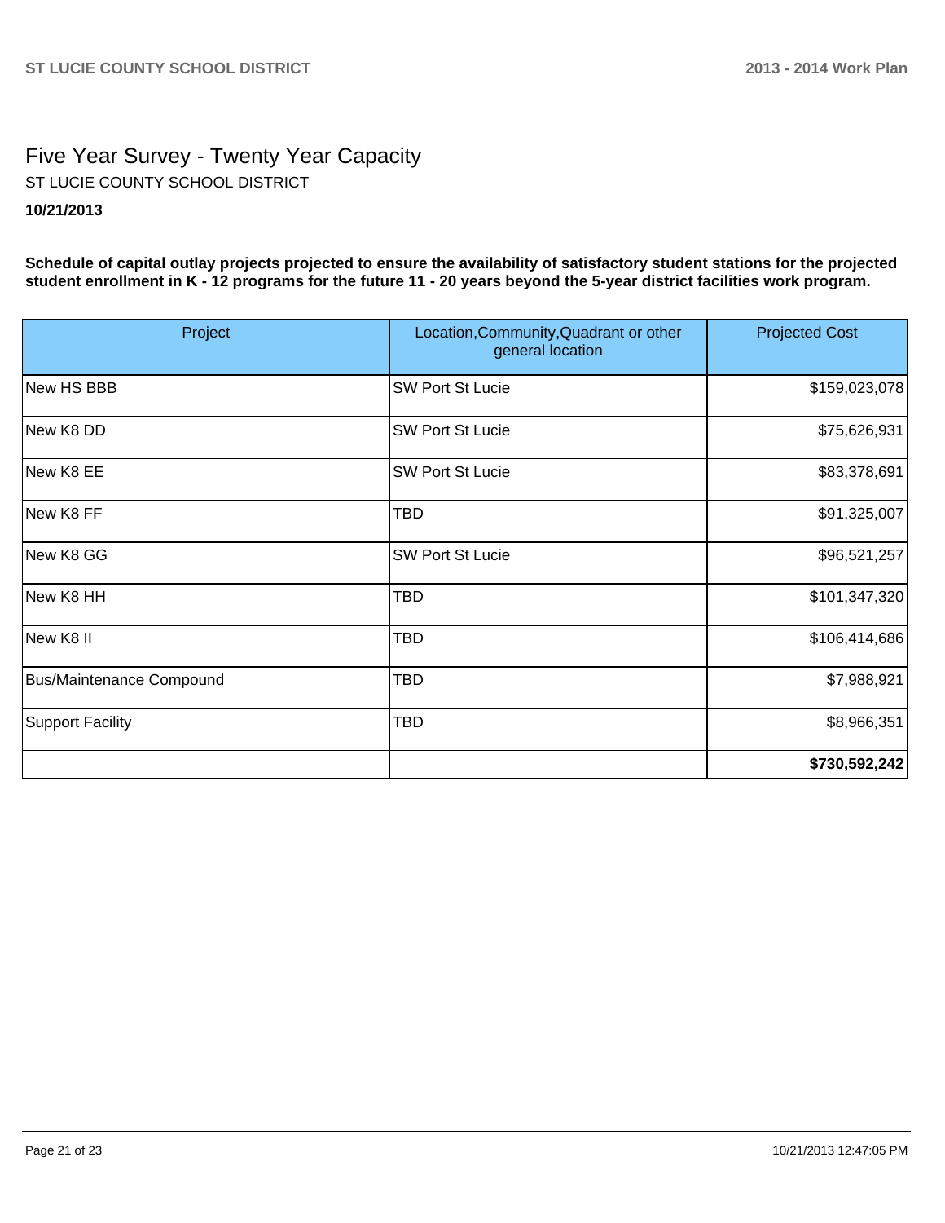# Five Year Survey - Twenty Year Capacity **10/21/2013** ST LUCIE COUNTY SCHOOL DISTRICT

**Schedule of capital outlay projects projected to ensure the availability of satisfactory student stations for the projected student enrollment in K - 12 programs for the future 11 - 20 years beyond the 5-year district facilities work program.**

| Project                         | Location, Community, Quadrant or other<br>general location | <b>Projected Cost</b> |
|---------------------------------|------------------------------------------------------------|-----------------------|
| New HS BBB                      | <b>SW Port St Lucie</b>                                    | \$159,023,078         |
| New K8 DD                       | <b>SW Port St Lucie</b>                                    | \$75,626,931          |
| New K8 EE                       | <b>SW Port St Lucie</b>                                    | \$83,378,691          |
| New K8 FF                       | TBD                                                        | \$91,325,007          |
| New K8 GG                       | <b>SW Port St Lucie</b>                                    | \$96,521,257          |
| New K8 HH                       | TBD                                                        | \$101,347,320         |
| New K8 II                       | TBD                                                        | \$106,414,686         |
| <b>Bus/Maintenance Compound</b> | TBD                                                        | \$7,988,921           |
| <b>Support Facility</b>         | TBD                                                        | \$8,966,351           |
|                                 |                                                            | \$730,592,242         |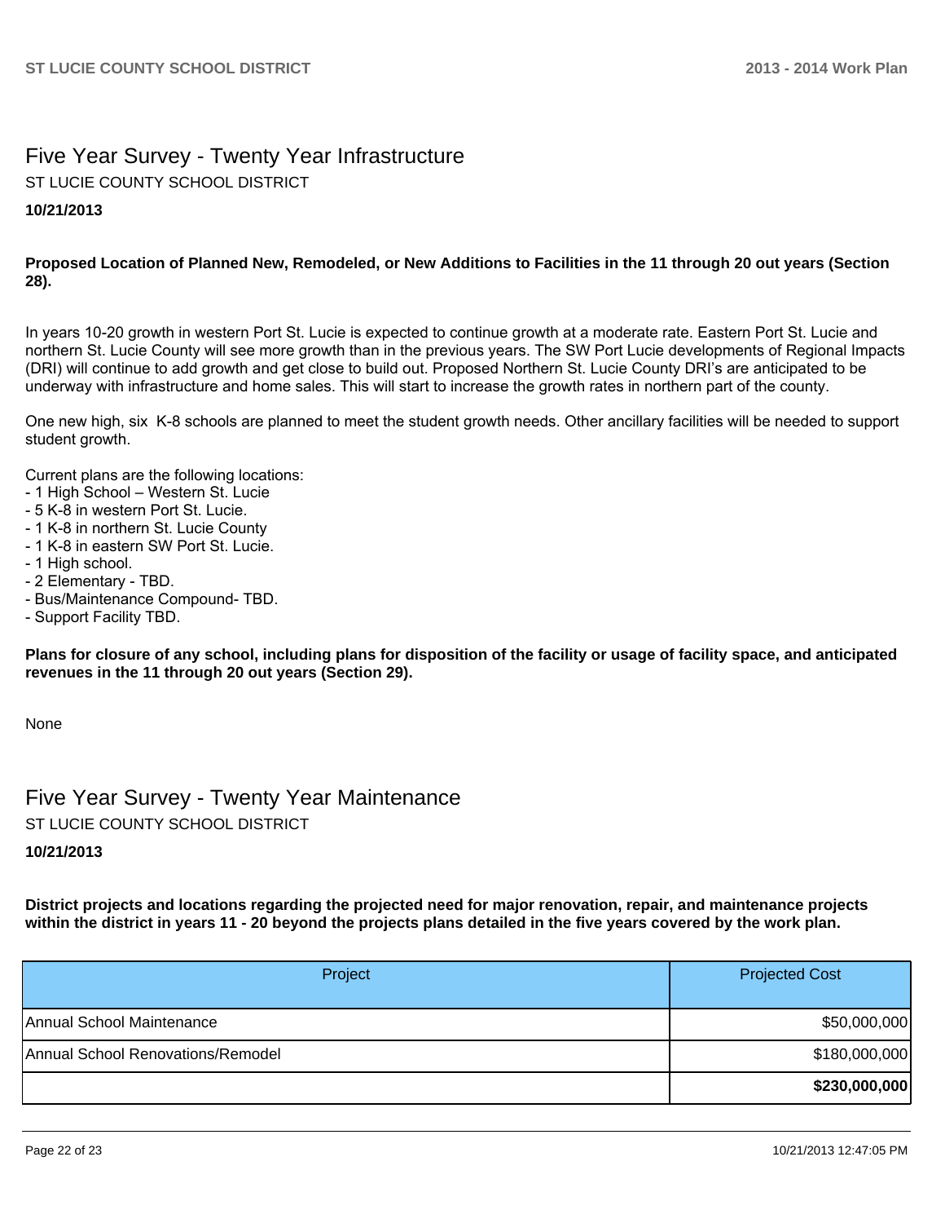# Five Year Survey - Twenty Year Infrastructure ST LUCIE COUNTY SCHOOL DISTRICT

**10/21/2013**

### **Proposed Location of Planned New, Remodeled, or New Additions to Facilities in the 11 through 20 out years (Section 28).**

In years 10-20 growth in western Port St. Lucie is expected to continue growth at a moderate rate. Eastern Port St. Lucie and northern St. Lucie County will see more growth than in the previous years. The SW Port Lucie developments of Regional Impacts (DRI) will continue to add growth and get close to build out. Proposed Northern St. Lucie County DRI's are anticipated to be underway with infrastructure and home sales. This will start to increase the growth rates in northern part of the county.

One new high, six K-8 schools are planned to meet the student growth needs. Other ancillary facilities will be needed to support student arowth.

Current plans are the following locations:

- 1 High School Western St. Lucie
- 5 K-8 in western Port St. Lucie.
- 1 K-8 in northern St. Lucie County
- 1 K-8 in eastern SW Port St. Lucie.
- 1 High school.
- 2 Elementary TBD.
- Bus/Maintenance Compound- TBD.
- Support Facility TBD.

**Plans for closure of any school, including plans for disposition of the facility or usage of facility space, and anticipated revenues in the 11 through 20 out years (Section 29).**

None

Five Year Survey - Twenty Year Maintenance ST LUCIE COUNTY SCHOOL DISTRICT

**10/21/2013**

**District projects and locations regarding the projected need for major renovation, repair, and maintenance projects within the district in years 11 - 20 beyond the projects plans detailed in the five years covered by the work plan.**

| Project                           | <b>Projected Cost</b> |
|-----------------------------------|-----------------------|
| lAnnual School Maintenance        | \$50,000,000          |
| Annual School Renovations/Remodel | \$180,000,000         |
|                                   | \$230,000,000         |